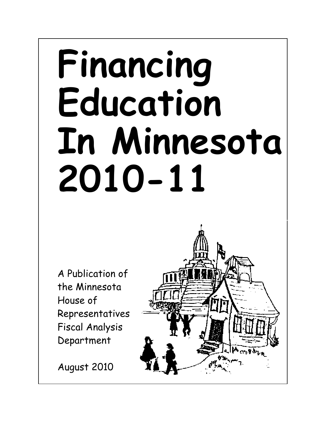# Financing Education In Minnesota 2010-11

A Publication of the Minnesota House of Representatives Fiscal Analysis Department

August 2010

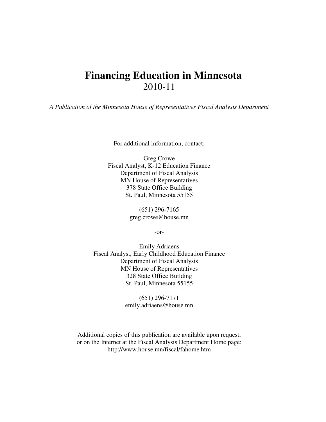# **Financing Education in Minnesota** 2010-11

*A Publication of the Minnesota House of Representatives Fiscal Analysis Department*

For additional information, contact:

Greg Crowe Fiscal Analyst, K-12 Education Finance Department of Fiscal Analysis MN House of Representatives 378 State Office Building St. Paul, Minnesota 55155

> (651) 296-7165 greg.crowe@house.mn

> > -or-

Emily Adriaens Fiscal Analyst, Early Childhood Education Finance Department of Fiscal Analysis MN House of Representatives 328 State Office Building St. Paul, Minnesota 55155

> (651) 296-7171 emily.adriaens@house.mn

Additional copies of this publication are available upon request, or on the Internet at the Fiscal Analysis Department Home page: http://www.house.mn/fiscal/fahome.htm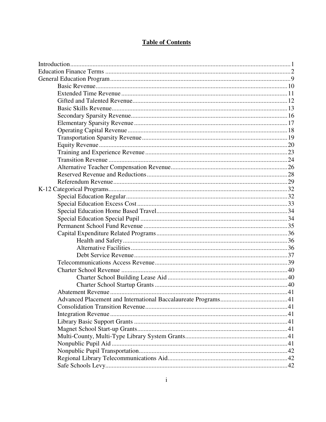# **Table of Contents**

| Advanced Placement and International Baccalaureate Programs |  |
|-------------------------------------------------------------|--|
|                                                             |  |
|                                                             |  |
|                                                             |  |
|                                                             |  |
|                                                             |  |
|                                                             |  |
|                                                             |  |
|                                                             |  |
|                                                             |  |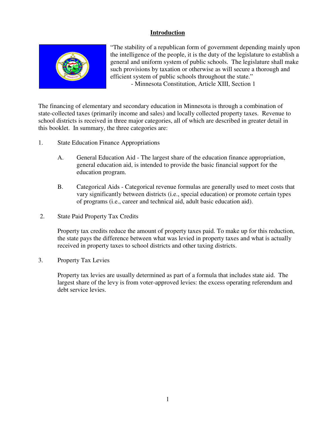# **Introduction**



"The stability of a republican form of government depending mainly upon the intelligence of the people, it is the duty of the legislature to establish a general and uniform system of public schools. The legislature shall make such provisions by taxation or otherwise as will secure a thorough and efficient system of public schools throughout the state." - Minnesota Constitution, Article XIII, Section 1

The financing of elementary and secondary education in Minnesota is through a combination of state-collected taxes (primarily income and sales) and locally collected property taxes. Revenue to school districts is received in three major categories, all of which are described in greater detail in this booklet. In summary, the three categories are:

- 1. State Education Finance Appropriations
	- A. General Education Aid The largest share of the education finance appropriation, general education aid, is intended to provide the basic financial support for the education program.
	- B. Categorical Aids Categorical revenue formulas are generally used to meet costs that vary significantly between districts (i.e., special education) or promote certain types of programs (i.e., career and technical aid, adult basic education aid).
- 2. State Paid Property Tax Credits

Property tax credits reduce the amount of property taxes paid. To make up for this reduction, the state pays the difference between what was levied in property taxes and what is actually received in property taxes to school districts and other taxing districts.

3. Property Tax Levies

Property tax levies are usually determined as part of a formula that includes state aid. The largest share of the levy is from voter-approved levies: the excess operating referendum and debt service levies.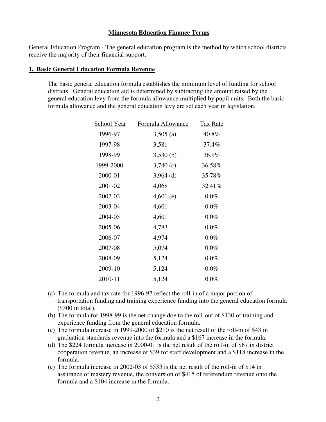# **Minnesota Education Finance Terms**

General Education Program - The general education program is the method by which school districts receive the majority of their financial support.

#### **1. Basic General Education Formula Revenue**

The basic general education formula establishes the minimum level of funding for school districts. General education aid is determined by subtracting the amount raised by the general education levy from the formula allowance multiplied by pupil units. Both the basic formula allowance and the general education levy are set each year in legislation.

| <u>School Year</u> | Formula Allowance | <b>Tax Rate</b> |
|--------------------|-------------------|-----------------|
| 1996-97            | $3,505$ (a)       | 40.8%           |
| 1997-98            | 3,581             | 37.4%           |
| 1998-99            | 3,530(b)          | 36.9%           |
| 1999-2000          | 3,740(c)          | 36.58%          |
| 2000-01            | $3,964$ (d)       | 35.78%          |
| 2001-02            | 4,068             | 32.41%          |
| 2002-03            | $4,601$ (e)       | $0.0\%$         |
| 2003-04            | 4,601             | $0.0\%$         |
| 2004-05            | 4,601             | $0.0\%$         |
| 2005-06            | 4,783             | $0.0\%$         |
| 2006-07            | 4,974             | $0.0\%$         |
| 2007-08            | 5,074             | $0.0\%$         |
| 2008-09            | 5,124             | $0.0\%$         |
| 2009-10            | 5,124             | $0.0\%$         |
| 2010-11            | 5,124             | $0.0\%$         |

- (a) The formula and tax rate for 1996-97 reflect the roll-in of a major portion of transportation funding and training experience funding into the general education formula (\$300 in total).
- (b) The formula for 1998-99 is the net change doe to the roll-out of \$130 of training and experience funding from the general education formula.
- (c) The formula increase in 1999-2000 of \$210 is the net result of the roll-in of \$43 in graduation standards revenue into the formula and a \$167 increase in the formula.
- (d) The \$224 formula increase in 2000-01 is the net result of the roll-in of \$67 in district cooperation revenue, an increase of \$39 for staff development and a \$118 increase in the formula.
- (e) The formula increase in 2002-03 of \$533 is the net result of the roll-in of \$14 in assurance of mastery revenue, the conversion of \$415 of referendum revenue onto the formula and a \$104 increase in the formula.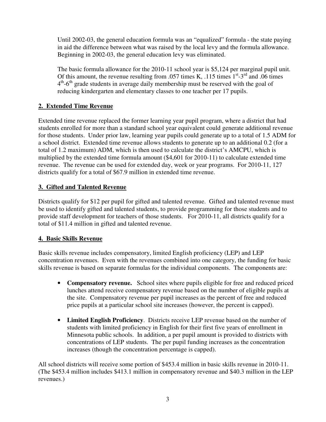Until 2002-03, the general education formula was an "equalized" formula - the state paying in aid the difference between what was raised by the local levy and the formula allowance. Beginning in 2002-03, the general education levy was eliminated.

The basic formula allowance for the 2010-11 school year is \$5,124 per marginal pupil unit. Of this amount, the revenue resulting from .057 times K, .115 times  $1<sup>st</sup> - 3<sup>rd</sup>$  and .06 times 4<sup>th</sup>-6<sup>th</sup> grade students in average daily membership must be reserved with the goal of reducing kindergarten and elementary classes to one teacher per 17 pupils.

# **2. Extended Time Revenue**

Extended time revenue replaced the former learning year pupil program, where a district that had students enrolled for more than a standard school year equivalent could generate additional revenue for those students. Under prior law, learning year pupils could generate up to a total of 1.5 ADM for a school district. Extended time revenue allows students to generate up to an additional 0.2 (for a total of 1.2 maximum) ADM, which is then used to calculate the district's AMCPU, which is multiplied by the extended time formula amount (\$4,601 for 2010-11) to calculate extended time revenue. The revenue can be used for extended day, week or year programs. For 2010-11, 127 districts qualify for a total of \$67.9 million in extended time revenue.

# **3. Gifted and Talented Revenue**

Districts qualify for \$12 per pupil for gifted and talented revenue. Gifted and talented revenue must be used to identify gifted and talented students, to provide programming for those students and to provide staff development for teachers of those students. For 2010-11, all districts qualify for a total of \$11.4 million in gifted and talented revenue.

# **4. Basic Skills Revenue**

Basic skills revenue includes compensatory, limited English proficiency (LEP) and LEP concentration revenues. Even with the revenues combined into one category, the funding for basic skills revenue is based on separate formulas for the individual components. The components are:

- **Compensatory revenue.** School sites where pupils eligible for free and reduced priced lunches attend receive compensatory revenue based on the number of eligible pupils at the site. Compensatory revenue per pupil increases as the percent of free and reduced price pupils at a particular school site increases (however, the percent is capped).
- **Limited English Proficiency**. Districts receive LEP revenue based on the number of students with limited proficiency in English for their first five years of enrollment in Minnesota public schools. In addition, a per pupil amount is provided to districts with concentrations of LEP students. The per pupil funding increases as the concentration increases (though the concentration percentage is capped).

All school districts will receive some portion of \$453.4 million in basic skills revenue in 2010-11. (The \$453.4 million includes \$413.1 million in compensatory revenue and \$40.3 million in the LEP revenues.)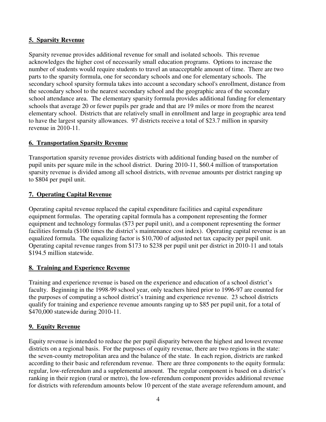# **5. Sparsity Revenue**

Sparsity revenue provides additional revenue for small and isolated schools. This revenue acknowledges the higher cost of necessarily small education programs. Options to increase the number of students would require students to travel an unacceptable amount of time. There are two parts to the sparsity formula, one for secondary schools and one for elementary schools. The secondary school sparsity formula takes into account a secondary school's enrollment, distance from the secondary school to the nearest secondary school and the geographic area of the secondary school attendance area. The elementary sparsity formula provides additional funding for elementary schools that average 20 or fewer pupils per grade and that are 19 miles or more from the nearest elementary school. Districts that are relatively small in enrollment and large in geographic area tend to have the largest sparsity allowances. 97 districts receive a total of \$23.7 million in sparsity revenue in 2010-11.

# **6. Transportation Sparsity Revenue**

Transportation sparsity revenue provides districts with additional funding based on the number of pupil units per square mile in the school district. During 2010-11, \$60.4 million of transportation sparsity revenue is divided among all school districts, with revenue amounts per district ranging up to \$804 per pupil unit.

# **7. Operating Capital Revenue**

Operating capital revenue replaced the capital expenditure facilities and capital expenditure equipment formulas. The operating capital formula has a component representing the former equipment and technology formulas (\$73 per pupil unit), and a component representing the former facilities formula (\$100 times the district's maintenance cost index). Operating capital revenue is an equalized formula. The equalizing factor is \$10,700 of adjusted net tax capacity per pupil unit. Operating capital revenue ranges from \$173 to \$238 per pupil unit per district in 2010-11 and totals \$194.5 million statewide.

# **8. Training and Experience Revenue**

Training and experience revenue is based on the experience and education of a school district's faculty. Beginning in the 1998-99 school year, only teachers hired prior to 1996-97 are counted for the purposes of computing a school district's training and experience revenue. 23 school districts qualify for training and experience revenue amounts ranging up to \$85 per pupil unit, for a total of \$470,000 statewide during 2010-11.

# **9. Equity Revenue**

Equity revenue is intended to reduce the per pupil disparity between the highest and lowest revenue districts on a regional basis. For the purposes of equity revenue, there are two regions in the state: the seven-county metropolitan area and the balance of the state. In each region, districts are ranked according to their basic and referendum revenue. There are three components to the equity formula: regular, low-referendum and a supplemental amount. The regular component is based on a district's ranking in their region (rural or metro), the low-referendum component provides additional revenue for districts with referendum amounts below 10 percent of the state average referendum amount, and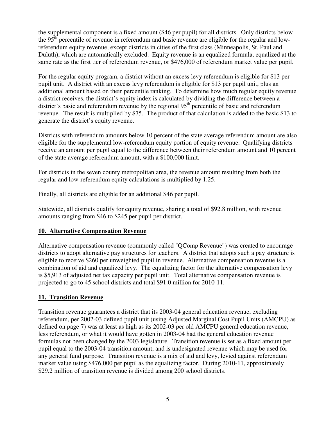the supplemental component is a fixed amount (\$46 per pupil) for all districts. Only districts below the 95<sup>th</sup> percentile of revenue in referendum and basic revenue are eligible for the regular and lowreferendum equity revenue, except districts in cities of the first class (Minneapolis, St. Paul and Duluth), which are automatically excluded. Equity revenue is an equalized formula, equalized at the same rate as the first tier of referendum revenue, or \$476,000 of referendum market value per pupil.

For the regular equity program, a district without an excess levy referendum is eligible for \$13 per pupil unit. A district with an excess levy referendum is eligible for \$13 per pupil unit, plus an additional amount based on their percentile ranking. To determine how much regular equity revenue a district receives, the district's equity index is calculated by dividing the difference between a district's basic and referendum revenue by the regional 95<sup>th</sup> percentile of basic and referendum revenue. The result is multiplied by \$75. The product of that calculation is added to the basic \$13 to generate the district's equity revenue.

Districts with referendum amounts below 10 percent of the state average referendum amount are also eligible for the supplemental low-referendum equity portion of equity revenue. Qualifying districts receive an amount per pupil equal to the difference between their referendum amount and 10 percent of the state average referendum amount, with a \$100,000 limit.

For districts in the seven county metropolitan area, the revenue amount resulting from both the regular and low-referendum equity calculations is multiplied by 1.25.

Finally, all districts are eligible for an additional \$46 per pupil.

Statewide, all districts qualify for equity revenue, sharing a total of \$92.8 million, with revenue amounts ranging from \$46 to \$245 per pupil per district.

# **10. Alternative Compensation Revenue**

Alternative compensation revenue (commonly called "QComp Revenue") was created to encourage districts to adopt alternative pay structures for teachers. A district that adopts such a pay structure is eligible to receive \$260 per unweighted pupil in revenue. Alternative compensation revenue is a combination of aid and equalized levy. The equalizing factor for the alternative compensation levy is \$5,913 of adjusted net tax capacity per pupil unit. Total alternative compensation revenue is projected to go to 45 school districts and total \$91.0 million for 2010-11.

# **11. Transition Revenue**

Transition revenue guarantees a district that its 2003-04 general education revenue, excluding referendum, per 2002-03 defined pupil unit (using Adjusted Marginal Cost Pupil Units (AMCPU) as defined on page 7) was at least as high as its 2002-03 per old AMCPU general education revenue, less referendum, or what it would have gotten in 2003-04 had the general education revenue formulas not been changed by the 2003 legislature. Transition revenue is set as a fixed amount per pupil equal to the 2003-04 transition amount, and is undesignated revenue which may be used for any general fund purpose. Transition revenue is a mix of aid and levy, levied against referendum market value using \$476,000 per pupil as the equalizing factor. During 2010-11, approximately \$29.2 million of transition revenue is divided among 200 school districts.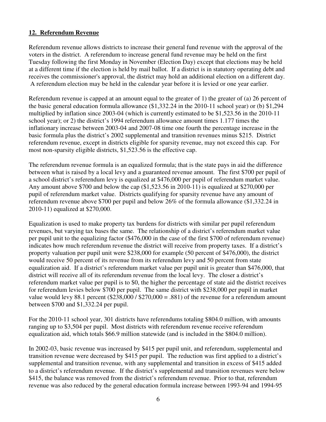# **12. Referendum Revenue**

Referendum revenue allows districts to increase their general fund revenue with the approval of the voters in the district. A referendum to increase general fund revenue may be held on the first Tuesday following the first Monday in November (Election Day) except that elections may be held at a different time if the election is held by mail ballot. If a district is in statutory operating debt and receives the commissioner's approval, the district may hold an additional election on a different day. A referendum election may be held in the calendar year before it is levied or one year earlier.

Referendum revenue is capped at an amount equal to the greater of 1) the greater of (a) 26 percent of the basic general education formula allowance (\$1,332.24 in the 2010-11 school year) or (b) \$1,294 multiplied by inflation since 2003-04 (which is currently estimated to be \$1,523.56 in the 2010-11 school year); or 2) the district's 1994 referendum allowance amount times 1.177 times the inflationary increase between 2003-04 and 2007-08 time one fourth the percentage increase in the basic formula plus the district's 2002 supplemental and transition revenues minus \$215. District referendum revenue, except in districts eligible for sparsity revenue, may not exceed this cap. For most non-sparsity eligible districts, \$1,523.56 is the effective cap.

The referendum revenue formula is an equalized formula; that is the state pays in aid the difference between what is raised by a local levy and a guaranteed revenue amount. The first \$700 per pupil of a school district's referendum levy is equalized at \$476,000 per pupil of referendum market value. Any amount above \$700 and below the cap (\$1,523.56 in 2010-11) is equalized at \$270,000 per pupil of referendum market value. Districts qualifying for sparsity revenue have any amount of referendum revenue above \$700 per pupil and below 26% of the formula allowance (\$1,332.24 in 2010-11) equalized at \$270,000.

Equalization is used to make property tax burdens for districts with similar per pupil referendum revenues, but varying tax bases the same. The relationship of a district's referendum market value per pupil unit to the equalizing factor (\$476,000 in the case of the first \$700 of referendum revenue) indicates how much referendum revenue the district will receive from property taxes. If a district's property valuation per pupil unit were \$238,000 for example (50 percent of \$476,000), the district would receive 50 percent of its revenue from its referendum levy and 50 percent from state equalization aid. If a district's referendum market value per pupil unit is greater than \$476,000, that district will receive all of its referendum revenue from the local levy. The closer a district's referendum market value per pupil is to \$0, the higher the percentage of state aid the district receives for referendum levies below \$700 per pupil. The same district with \$238,000 per pupil in market value would levy 88.1 percent  $(\$238,000 / \$270,000 = .881)$  of the revenue for a referendum amount between \$700 and \$1,332.24 per pupil.

For the 2010-11 school year, 301 districts have referendums totaling \$804.0 million, with amounts ranging up to \$3,504 per pupil. Most districts with referendum revenue receive referendum equalization aid, which totals \$66.9 million statewide (and is included in the \$804.0 million).

In 2002-03, basic revenue was increased by \$415 per pupil unit, and referendum, supplemental and transition revenue were decreased by \$415 per pupil. The reduction was first applied to a district's supplemental and transition revenue, with any supplemental and transition in excess of \$415 added to a district's referendum revenue. If the district's supplemental and transition revenues were below \$415, the balance was removed from the district's referendum revenue. Prior to that, referendum revenue was also reduced by the general education formula increase between 1993-94 and 1994-95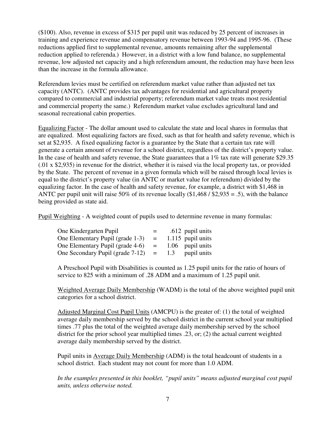(\$100). Also, revenue in excess of \$315 per pupil unit was reduced by 25 percent of increases in training and experience revenue and compensatory revenue between 1993-94 and 1995-96. (These reductions applied first to supplemental revenue, amounts remaining after the supplemental reduction applied to referenda.) However, in a district with a low fund balance, no supplemental revenue, low adjusted net capacity and a high referendum amount, the reduction may have been less than the increase in the formula allowance.

Referendum levies must be certified on referendum market value rather than adjusted net tax capacity (ANTC). (ANTC provides tax advantages for residential and agricultural property compared to commercial and industrial property; referendum market value treats most residential and commercial property the same.) Referendum market value excludes agricultural land and seasonal recreational cabin properties.

Equalizing Factor - The dollar amount used to calculate the state and local shares in formulas that are equalized. Most equalizing factors are fixed, such as that for health and safety revenue, which is set at \$2,935. A fixed equalizing factor is a guarantee by the State that a certain tax rate will generate a certain amount of revenue for a school district, regardless of the district's property value. In the case of health and safety revenue, the State guarantees that a 1% tax rate will generate \$29.35  $(0.01 \times $2,935)$  in revenue for the district, whether it is raised via the local property tax, or provided by the State. The percent of revenue in a given formula which will be raised through local levies is equal to the district's property value (in ANTC or market value for referendum) divided by the equalizing factor. In the case of health and safety revenue, for example, a district with \$1,468 in ANTC per pupil unit will raise 50% of its revenue locally  $(\$1,468 / \$2,935 = .5)$ , with the balance being provided as state aid.

Pupil Weighting - A weighted count of pupils used to determine revenue in many formulas:

| One Kindergarten Pupil           | $=$ |     | .612 pupil units    |
|----------------------------------|-----|-----|---------------------|
| One Elementary Pupil (grade 1-3) | $=$ |     | $1.115$ pupil units |
| One Elementary Pupil (grade 4-6) | $=$ |     | 1.06 pupil units    |
| One Secondary Pupil (grade 7-12) | $=$ | 1.3 | pupil units         |

A Preschool Pupil with Disabilities is counted as 1.25 pupil units for the ratio of hours of service to 825 with a minimum of .28 ADM and a maximum of 1.25 pupil unit.

Weighted Average Daily Membership (WADM) is the total of the above weighted pupil unit categories for a school district.

Adjusted Marginal Cost Pupil Units (AMCPU) is the greater of: (1) the total of weighted average daily membership served by the school district in the current school year multiplied times .77 plus the total of the weighted average daily membership served by the school district for the prior school year multiplied times .23, or; (2) the actual current weighted average daily membership served by the district.

Pupil units in Average Daily Membership (ADM) is the total headcount of students in a school district. Each student may not count for more than 1.0 ADM.

In the examples presented in this booklet, "pupil units" means adjusted marginal cost pupil *units, unless otherwise noted.*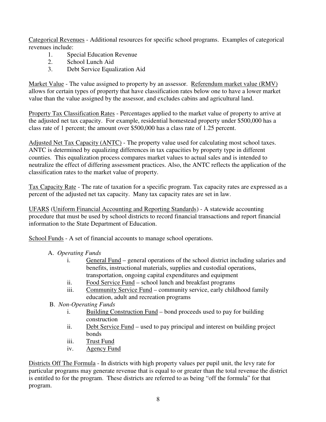Categorical Revenues - Additional resources for specific school programs. Examples of categorical revenues include:

- 1. Special Education Revenue<br>2. School Lunch Aid
- School Lunch Aid
- 3. Debt Service Equalization Aid

Market Value - The value assigned to property by an assessor. Referendum market value (RMV) allows for certain types of property that have classification rates below one to have a lower market value than the value assigned by the assessor, and excludes cabins and agricultural land.

Property Tax Classification Rates - Percentages applied to the market value of property to arrive at the adjusted net tax capacity. For example, residential homestead property under \$500,000 has a class rate of 1 percent; the amount over \$500,000 has a class rate of 1.25 percent.

Adjusted Net Tax Capacity (ANTC) - The property value used for calculating most school taxes. ANTC is determined by equalizing differences in tax capacities by property type in different counties. This equalization process compares market values to actual sales and is intended to neutralize the effect of differing assessment practices. Also, the ANTC reflects the application of the classification rates to the market value of property.

Tax Capacity Rate - The rate of taxation for a specific program. Tax capacity rates are expressed as a percent of the adjusted net tax capacity. Many tax capacity rates are set in law.

UFARS (Uniform Financial Accounting and Reporting Standards) - A statewide accounting procedure that must be used by school districts to record financial transactions and report financial information to the State Department of Education.

School Funds - A set of financial accounts to manage school operations.

- A. *Operating Funds*
	- i. General Fund general operations of the school district including salaries and benefits, instructional materials, supplies and custodial operations, transportation, ongoing capital expenditures and equipment
	- ii. Food Service Fund school lunch and breakfast programs
	- iii. Community Service Fund community service, early childhood family education, adult and recreation programs
- B. *Non-Operating Funds*
	- i. Building Construction Fund bond proceeds used to pay for building construction
	- ii. Debt Service Fund used to pay principal and interest on building project bonds
	- iii. Trust Fund
	- iv. Agency Fund

Districts Off The Formula - In districts with high property values per pupil unit, the levy rate for particular programs may generate revenue that is equal to or greater than the total revenue the district is entitled to for the program. These districts are referred to as being "off the formula" for that program.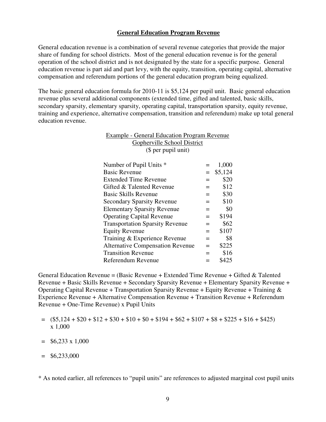#### **General Education Program Revenue**

General education revenue is a combination of several revenue categories that provide the major share of funding for school districts. Most of the general education revenue is for the general operation of the school district and is not designated by the state for a specific purpose. General education revenue is part aid and part levy, with the equity, transition, operating capital, alternative compensation and referendum portions of the general education program being equalized.

The basic general education formula for 2010-11 is \$5,124 per pupil unit. Basic general education revenue plus several additional components (extended time, gifted and talented, basic skills, secondary sparsity, elementary sparsity, operating capital, transportation sparsity, equity revenue, training and experience, alternative compensation, transition and referendum) make up total general education revenue.

| <b>Example - General Education Program Revenue</b><br>Gopherville School District |     |         |  |  |
|-----------------------------------------------------------------------------------|-----|---------|--|--|
| (\$ per pupil unit)                                                               |     |         |  |  |
| Number of Pupil Units *                                                           |     | 1,000   |  |  |
| <b>Basic Revenue</b>                                                              | $=$ | \$5,124 |  |  |
| <b>Extended Time Revenue</b>                                                      | $=$ | \$20    |  |  |
| Gifted & Talented Revenue                                                         | $=$ | \$12    |  |  |
| <b>Basic Skills Revenue</b>                                                       | $=$ | \$30    |  |  |
| <b>Secondary Sparsity Revenue</b>                                                 | $=$ | \$10    |  |  |
| <b>Elementary Sparsity Revenue</b>                                                | $=$ | \$0     |  |  |
| <b>Operating Capital Revenue</b>                                                  | $=$ | \$194   |  |  |
| <b>Transportation Sparsity Revenue</b>                                            | $=$ | \$62    |  |  |
| <b>Equity Revenue</b>                                                             | $=$ | \$107   |  |  |
| Training & Experience Revenue                                                     | $=$ | \$8     |  |  |
| <b>Alternative Compensation Revenue</b>                                           | $=$ | \$225   |  |  |
| <b>Transition Revenue</b>                                                         |     | \$16    |  |  |
| Referendum Revenue                                                                |     | \$425   |  |  |

General Education Revenue = (Basic Revenue + Extended Time Revenue + Gifted & Talented Revenue + Basic Skills Revenue + Secondary Sparsity Revenue + Elementary Sparsity Revenue + Operating Capital Revenue + Transportation Sparsity Revenue + Equity Revenue + Training & Experience Revenue + Alternative Compensation Revenue + Transition Revenue + Referendum Revenue + One-Time Revenue) x Pupil Units

- $=$   $(\$5,124 + \$20 + \$12 + \$30 + \$10 + \$0 + \$194 + \$62 + \$107 + \$8 + \$225 + \$16 + \$425)$ x 1,000
- $=$  \$6,233 x 1,000
- $=$  \$6,233,000

\* As noted earlier, all references to "pupil units" are references to adjusted marginal cost pupil units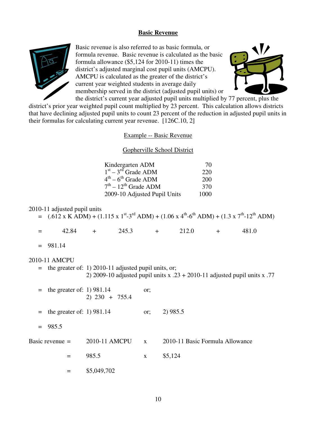#### **Basic Revenue**



Basic revenue is also referred to as basic formula, or formula revenue. Basic revenue is calculated as the basic formula allowance (\$5,124 for 2010-11) times the district's adjusted marginal cost pupil units (AMCPU). AMCPU is calculated as the greater of the district's current year weighted students in average daily membership served in the district (adjusted pupil units) or



the district's current year adjusted pupil units multiplied by 77 percent, plus the district's prior year weighted pupil count multiplied by 23 percent. This calculation allows districts that have declining adjusted pupil units to count 23 percent of the reduction in adjusted pupil units in their formulas for calculating current year revenue. [126C.10, 2]

#### Example -- Basic Revenue

#### Gopherville School District

| Kindergarten ADM                          | 70   |
|-------------------------------------------|------|
| $1st - 3rd$ Grade ADM                     | 220  |
| $4^{\text{th}} - 6^{\text{th}}$ Grade ADM | 200  |
| $7th - 12th$ Grade ADM                    | 370  |
| 2009-10 Adjusted Pupil Units              | 1000 |

#### 2010-11 adjusted pupil units

| $=$ (.612 x K ADM) + (1.115 x 1 <sup>st</sup> -3 <sup>rd</sup> ADM) + (1.06 x 4 <sup>th</sup> -6 <sup>th</sup> ADM) + (1.3 x 7 <sup>th</sup> -12 <sup>th</sup> ADM) |  |  |
|---------------------------------------------------------------------------------------------------------------------------------------------------------------------|--|--|
|                                                                                                                                                                     |  |  |
|                                                                                                                                                                     |  |  |

| $=$ | $+2.84$ |  | 245.3 |  | 212.0 | - | 481.0 |
|-----|---------|--|-------|--|-------|---|-------|
|-----|---------|--|-------|--|-------|---|-------|

 $= 981.14$ 

#### 2010-11 AMCPU

 = the greater of: 1) 2010-11 adjusted pupil units, or; 2) 2009-10 adjusted pupil units x .23 + 2010-11 adjusted pupil units x .77

|                   | $=$ the greater of: 1) 981.14<br>$2) 230 + 755.4$ | or;          |                                 |
|-------------------|---------------------------------------------------|--------------|---------------------------------|
|                   | $=$ the greater of: 1) 981.14                     | or:          | 2) 985.5                        |
| $= 985.5$         |                                                   |              |                                 |
| Basic revenue $=$ | 2010-11 AMCPU                                     | $\mathbf{X}$ | 2010-11 Basic Formula Allowance |
|                   | 985.5                                             | $\mathbf{X}$ | \$5,124                         |
|                   | \$5,049,702                                       |              |                                 |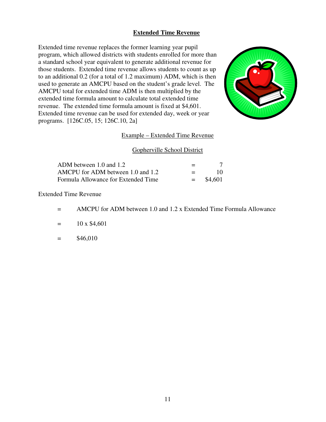# **Extended Time Revenue**

Extended time revenue replaces the former learning year pupil program, which allowed districts with students enrolled for more than a standard school year equivalent to generate additional revenue for those students. Extended time revenue allows students to count as up to an additional 0.2 (for a total of 1.2 maximum) ADM, which is then used to generate an AMCPU based on the student's grade level. The AMCPU total for extended time ADM is then multiplied by the extended time formula amount to calculate total extended time revenue. The extended time formula amount is fixed at \$4,601. Extended time revenue can be used for extended day, week or year programs. [126C.05, 15; 126C.10, 2a]



# Example – Extended Time Revenue

#### Gopherville School District

| ADM between 1.0 and 1.2             | $=$     |         |
|-------------------------------------|---------|---------|
| AMCPU for ADM between 1.0 and 1.2   | $=$ $-$ | 10.     |
| Formula Allowance for Extended Time | $=$ $-$ | \$4.601 |

Extended Time Revenue

- = AMCPU for ADM between 1.0 and 1.2 x Extended Time Formula Allowance
- $=$  10 x \$4,601

 $=$  \$46,010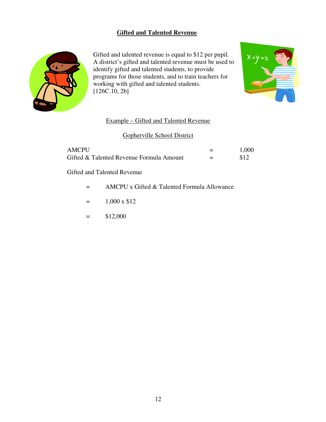# **Gifted and Talented Revenue**



Gifted and talented revenue is equal to \$12 per pupil. A district's gifted and talented revenue must be used to identify gifted and talented students, to provide programs for those students, and to train teachers for working with gifted and talented students. [126C.10, 2b]



# Example – Gifted and Talented Revenue

# Gopherville School District

| AMCPU                                    |     | 1,000 |
|------------------------------------------|-----|-------|
| Gifted & Talented Revenue Formula Amount | $=$ |       |

Gifted and Talented Revenue

- = AMCPU x Gifted & Talented Formula Allowance
- $=$  1,000 x \$12
- $=$  \$12,000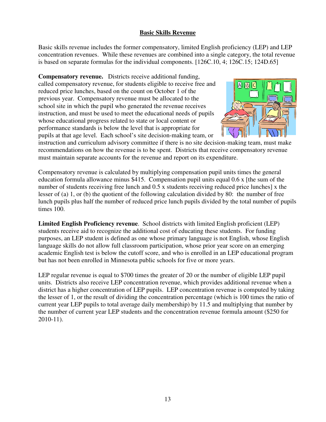# **Basic Skills Revenue**

Basic skills revenue includes the former compensatory, limited English proficiency (LEP) and LEP concentration revenues. While these revenues are combined into a single category, the total revenue is based on separate formulas for the individual components. [126C.10, 4; 126C.15; 124D.65]

**Compensatory revenue.** Districts receive additional funding, called compensatory revenue, for students eligible to receive free and reduced price lunches, based on the count on October 1 of the previous year. Compensatory revenue must be allocated to the school site in which the pupil who generated the revenue receives instruction, and must be used to meet the educational needs of pupils whose educational progress related to state or local content or performance standards is below the level that is appropriate for pupils at that age level. Each school's site decision-making team, or



instruction and curriculum advisory committee if there is no site decision-making team, must make recommendations on how the revenue is to be spent. Districts that receive compensatory revenue must maintain separate accounts for the revenue and report on its expenditure.

Compensatory revenue is calculated by multiplying compensation pupil units times the general education formula allowance minus \$415. Compensation pupil units equal 0.6 x [the sum of the number of students receiving free lunch and 0.5 x students receiving reduced price lunches] x the lesser of (a) 1, or (b) the quotient of the following calculation divided by 80: the number of free lunch pupils plus half the number of reduced price lunch pupils divided by the total number of pupils times 100.

**Limited English Proficiency revenue**. School districts with limited English proficient (LEP) students receive aid to recognize the additional cost of educating these students. For funding purposes, an LEP student is defined as one whose primary language is not English, whose English language skills do not allow full classroom participation, whose prior year score on an emerging academic English test is below the cutoff score, and who is enrolled in an LEP educational program but has not been enrolled in Minnesota public schools for five or more years.

LEP regular revenue is equal to \$700 times the greater of 20 or the number of eligible LEP pupil units. Districts also receive LEP concentration revenue, which provides additional revenue when a district has a higher concentration of LEP pupils. LEP concentration revenue is computed by taking the lesser of 1, or the result of dividing the concentration percentage (which is 100 times the ratio of current year LEP pupils to total average daily membership) by 11.5 and multiplying that number by the number of current year LEP students and the concentration revenue formula amount (\$250 for 2010-11).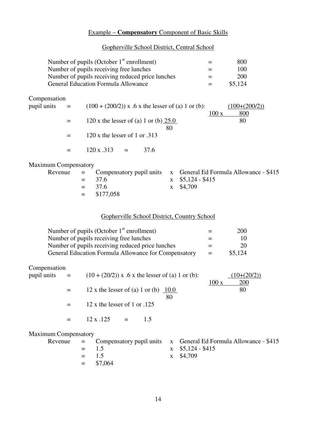# Example – **Compensatory** Component of Basic Skills

#### Gopherville School District, Central School

| Number of pupils (October $1st$ enrollment)      | $\overline{\phantom{0}}$ | 800     |
|--------------------------------------------------|--------------------------|---------|
| Number of pupils receiving free lunches          | $=$                      | 100     |
| Number of pupils receiving reduced price lunches | $=$                      | 200     |
| <b>General Education Formula Allowance</b>       |                          | \$5,124 |

Compensation

| $p$ pupil units $=$ |     | $(100 + (200/2))$ x .6 x the lesser of (a) 1 or (b): | $(100+(200/2))$ |
|---------------------|-----|------------------------------------------------------|-----------------|
|                     |     |                                                      | 800<br>100 x    |
|                     | $=$ | 120 x the lesser of (a) 1 or (b) $25.0$              | 80              |
|                     |     | 80                                                   |                 |
|                     | $=$ | $120$ x the lesser of 1 or $.313$                    |                 |
|                     |     |                                                      |                 |
|                     |     | $120 x .313 =$<br>37.6                               |                 |

# Maximum Compensatory

|  |               | Revenue $=$ Compensatory pupil units $x$ General Ed Formula Allowance - \$415 |
|--|---------------|-------------------------------------------------------------------------------|
|  | $= 37.6$      | $x \quad $5,124 - $415$                                                       |
|  | $= 37.6$      | x \$4,709                                                                     |
|  | $=$ \$177,058 |                                                                               |

# Gopherville School District, Country School

| Number of pupils (October $1st$ enrollment)          | $=$                      | 200     |
|------------------------------------------------------|--------------------------|---------|
| Number of pupils receiving free lunches              | $\overline{\phantom{0}}$ | 10      |
| Number of pupils receiving reduced price lunches     | $=$                      | 20      |
| General Education Formula Allowance for Compensatory | $=$                      | \$5,124 |

# Compensation

| pupil units $=$             |                         |                                | $(10 + (20/2))$ x .6 x the lesser of (a) 1 or (b):                              |      | $10+(20/2)$ |
|-----------------------------|-------------------------|--------------------------------|---------------------------------------------------------------------------------|------|-------------|
|                             | $=$                     |                                | 12 x the lesser of (a) 1 or (b) $10.0$                                          | 100x | 200<br>80   |
|                             |                         |                                | 80                                                                              |      |             |
|                             |                         | $12 x$ the lesser of 1 or .125 |                                                                                 |      |             |
|                             |                         | $12 \times .125 =$             | 1.5                                                                             |      |             |
| <b>Maximum Compensatory</b> | $\mathbf{P}_{\text{o}}$ |                                | $Complementary \, \text{minil units}$ $\mathbf{v}$ General Ed Formula Allowance |      |             |

|  |             | Revenue $=$ Compensatory pupil units $x$ General Ed Formula Allowance - \$415 |
|--|-------------|-------------------------------------------------------------------------------|
|  | $=$ 15      | $x \quad $5,124 - $415$                                                       |
|  | $=$ 15      | x \$4,709                                                                     |
|  | $=$ \$7,064 |                                                                               |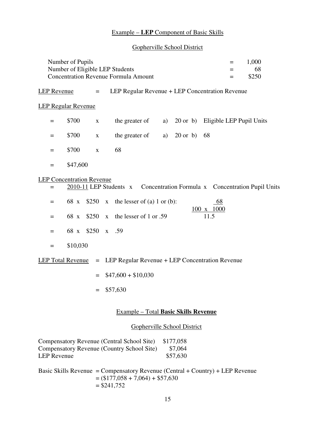# Example – **LEP** Component of Basic Skills

# Gopherville School District

|                    | Number of Pupils<br>Number of Eligible LEP Students<br><b>Concentration Revenue Formula Amount</b> |             |                                                                                          |    |                                   |                                |  | 1,000<br>68<br>\$250 |
|--------------------|----------------------------------------------------------------------------------------------------|-------------|------------------------------------------------------------------------------------------|----|-----------------------------------|--------------------------------|--|----------------------|
|                    | LEP Regular Revenue + LEP Concentration Revenue<br><b>LEP</b> Revenue<br>$=$                       |             |                                                                                          |    |                                   |                                |  |                      |
|                    | <b>LEP Regular Revenue</b>                                                                         |             |                                                                                          |    |                                   |                                |  |                      |
| $=$                | \$700                                                                                              | $\mathbf X$ | the greater of                                                                           | a) | 20 or b) Eligible LEP Pupil Units |                                |  |                      |
| $=$                | \$700                                                                                              | $\mathbf X$ | the greater of                                                                           | a) | $20 \text{ or } b$                | 68                             |  |                      |
| $=$                | \$700                                                                                              | $\mathbf X$ | 68                                                                                       |    |                                   |                                |  |                      |
| $=$                | \$47,600                                                                                           |             |                                                                                          |    |                                   |                                |  |                      |
|                    | <b>LEP Concentration Revenue</b>                                                                   |             |                                                                                          |    |                                   |                                |  |                      |
| $=$                |                                                                                                    |             | 2010-11 LEP Students x Concentration Formula x Concentration Pupil Units                 |    |                                   |                                |  |                      |
| $=$                |                                                                                                    | 68 x \$250  | x the lesser of (a) 1 or (b):                                                            |    |                                   | <u>68</u><br>$100 \times 1000$ |  |                      |
| $=$                | 68 x                                                                                               | \$250       | x the lesser of 1 or .59                                                                 |    |                                   | 11.5                           |  |                      |
| $=$                |                                                                                                    | 68 x \$250  | x .59                                                                                    |    |                                   |                                |  |                      |
| $=$                | \$10,030                                                                                           |             |                                                                                          |    |                                   |                                |  |                      |
|                    | <b>LEP Total Revenue</b>                                                                           | $=$         | LEP Regular Revenue + LEP Concentration Revenue                                          |    |                                   |                                |  |                      |
|                    |                                                                                                    | $=$         | $$47,600 + $10,030$                                                                      |    |                                   |                                |  |                      |
|                    |                                                                                                    | $=$         | \$57,630                                                                                 |    |                                   |                                |  |                      |
|                    |                                                                                                    |             | <b>Example - Total Basic Skills Revenue</b>                                              |    |                                   |                                |  |                      |
|                    |                                                                                                    |             |                                                                                          |    | Gopherville School District       |                                |  |                      |
| <b>LEP</b> Revenue |                                                                                                    |             | Compensatory Revenue (Central School Site)<br>Compensatory Revenue (Country School Site) |    | \$177,058<br>\$7,064<br>\$57,630  |                                |  |                      |

Basic Skills Revenue = Compensatory Revenue (Central + Country) + LEP Revenue  $= (177,058 + 7,064) + $57,630$  $= $241,752$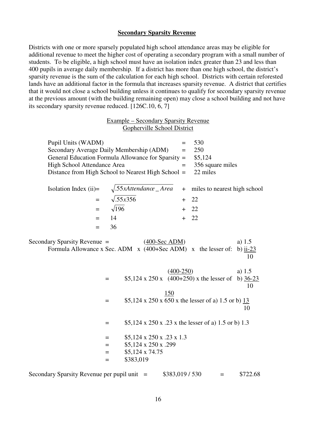#### **Secondary Sparsity Revenue**

Districts with one or more sparsely populated high school attendance areas may be eligible for additional revenue to meet the higher cost of operating a secondary program with a small number of students. To be eligible, a high school must have an isolation index greater than 23 and less than 400 pupils in average daily membership. If a district has more than one high school, the district's sparsity revenue is the sum of the calculation for each high school. Districts with certain reforested lands have an additional factor in the formula that increases sparsity revenue. A district that certifies that it would not close a school building unless it continues to qualify for secondary sparsity revenue at the previous amount (with the building remaining open) may close a school building and not have its secondary sparsity revenue reduced. [126C.10, 6, 7]

|                                                   | <b>Example – Secondary Sparsity Revenue</b><br>Gopherville School District                                                                           |                          |                                                       |                               |
|---------------------------------------------------|------------------------------------------------------------------------------------------------------------------------------------------------------|--------------------------|-------------------------------------------------------|-------------------------------|
| Pupil Units (WADM)<br>High School Attendance Area | Secondary Average Daily Membership (ADM)<br>General Education Formula Allowance for Sparsity =<br>Distance from High School to Nearest High School = | $=$<br>$=$               | 530<br>250<br>\$5,124<br>356 square miles<br>22 miles |                               |
| Isolation Index $(ii)=$<br>$=$<br>$=$<br>$=$      | $\sqrt{.55x}$ Attendance _ Area<br>$\sqrt{.55x356}$<br>$\sqrt{196}$<br>14                                                                            | $+$<br>$+$<br>$+$<br>$+$ | miles to nearest high school<br>22<br>22<br>22        |                               |
| $=$<br>Secondary Sparsity Revenue =               | 36<br>$(400-Sec$ ADM)<br>Formula Allowance x Sec. ADM $\bar{x}$ (400+Sec ADM) $\bar{x}$ the lesser of:                                               |                          |                                                       | a) $1.5$<br>b) ii- $23$<br>10 |
|                                                   | $(400-250)$<br>\$5,124 x 250 x $(400+250)$ x the lesser of<br>$=$<br>150                                                                             |                          |                                                       | a) $1.5$<br>b) $36-23$<br>10  |
|                                                   | \$5,124 x 250 x 650 x the lesser of a) 1.5 or b) $\frac{13}{2}$<br>$=$<br>\$5,124 x 250 x .23 x the lesser of a) 1.5 or b) 1.3<br>$=$                |                          |                                                       | 10                            |
|                                                   | $$5,124 \times 250 \times .23 \times 1.3$<br>$=$<br>\$5,124 x 250 x .299<br>$=$<br>\$5,124 x 74.75<br>$=$<br>\$383,019<br>$=$                        |                          |                                                       |                               |

|  |  |  | Secondary Sparsity Revenue per pupil unit $=$ |  |  |  | \$383,019/530 |  | \$722.68 |
|--|--|--|-----------------------------------------------|--|--|--|---------------|--|----------|
|--|--|--|-----------------------------------------------|--|--|--|---------------|--|----------|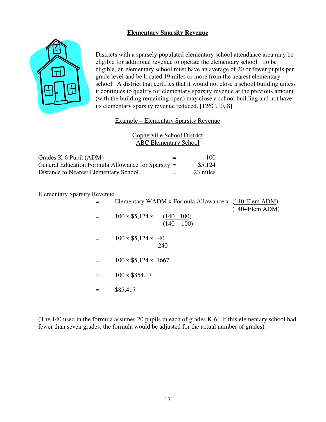# **Elementary Sparsity Revenue**



Districts with a sparsely populated elementary school attendance area may be eligible for additional revenue to operate the elementary school. To be eligible, an elementary school must have an average of 20 or fewer pupils per grade level and be located 19 miles or more from the nearest elementary school. A district that certifies that it would not close a school building unless it continues to qualify for elementary sparsity revenue at the previous amount (with the building remaining open) may close a school building and not have its elementary sparsity revenue reduced. [126C.10, 8]

# Example – Elementary Sparsity Revenue

# Gopherville School District ABC Elementary School

| Grades K-6 Pupil (ADM)                             | $=$ | 100      |
|----------------------------------------------------|-----|----------|
| General Education Formula Allowance for Sparsity = |     | \$5,124  |
| Distance to Nearest Elementary School              | $=$ | 23 miles |

Elementary Sparsity Revenue

|     | Elementary WADM x Formula Allowance x (140-Elem ADM) |
|-----|------------------------------------------------------|
|     | $(140 + \text{Elem ADM})$                            |
|     | $100 \times $5,124 \times (140 - 100)$               |
|     | $(140 + 100)$                                        |
|     |                                                      |
|     | $100 \times $5,124 \times 40$                        |
|     | 240                                                  |
|     |                                                      |
| $=$ | $100 \times $5,124 \times .1667$                     |
|     |                                                      |
| $=$ | 100 x \$854.17                                       |
|     |                                                      |
|     | \$85,417                                             |

(The 140 used in the formula assumes 20 pupils in each of grades K-6. If this elementary school had fewer than seven grades, the formula would be adjusted for the actual number of grades).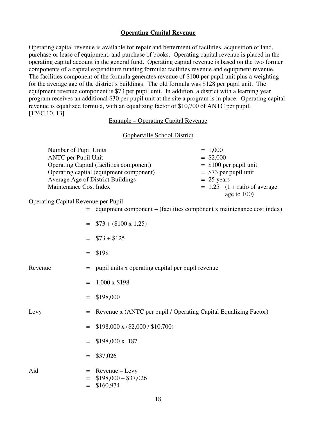#### **Operating Capital Revenue**

Operating capital revenue is available for repair and betterment of facilities, acquisition of land, purchase or lease of equipment, and purchase of books. Operating capital revenue is placed in the operating capital account in the general fund. Operating capital revenue is based on the two former components of a capital expenditure funding formula: facilities revenue and equipment revenue. The facilities component of the formula generates revenue of \$100 per pupil unit plus a weighting for the average age of the district's buildings. The old formula was \$128 per pupil unit. The equipment revenue component is \$73 per pupil unit. In addition, a district with a learning year program receives an additional \$30 per pupil unit at the site a program is in place. Operating capital revenue is equalized formula, with an equalizing factor of \$10,700 of ANTC per pupil. [126C.10, 13]

#### Example – Operating Capital Revenue

#### Gopherville School District

| Number of Pupil Units                    | $= 1,000$                      |
|------------------------------------------|--------------------------------|
| <b>ANTC</b> per Pupil Unit               | $=$ \$2,000                    |
| Operating Capital (facilities component) | $=$ \$100 per pupil unit       |
| Operating capital (equipment component)  | $=$ \$73 per pupil unit        |
| Average Age of District Buildings        | $= 25$ years                   |
| Maintenance Cost Index                   | $= 1.25$ (1 + ratio of average |
|                                          | age to $100$ )                 |

#### Operating Capital Revenue per Pupil

- = equipment component + (facilities component x maintenance cost index)
- $=$  \$73 + (\$100 x 1.25)
- $=$  \$73 + \$125
- $=$  \$198

- $Re$ venue  $=$  pupil units x operating capital per pupil revenue
	- $= 1,000 \times $198$
	- $=$  \$198,000

- Levy = Revenue x (ANTC per pupil / Operating Capital Equalizing Factor)
	- $=$  \$198,000 x (\$2,000 / \$10,700)
	- $=$  \$198,000 x .187
	- $=$  \$37,026
- $Aid$  = Revenue Levy  $=$  \$198,000 - \$37,026  $=$  \$160,974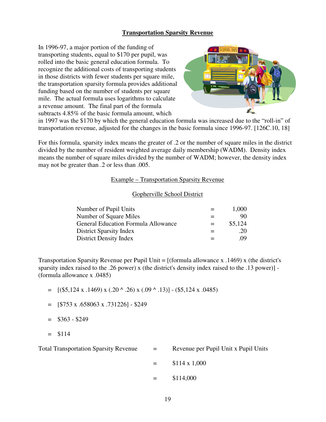# **Transportation Sparsity Revenue**

In 1996-97, a major portion of the funding of transporting students, equal to \$170 per pupil, was rolled into the basic general education formula. To recognize the additional costs of transporting students in those districts with fewer students per square mile, the transportation sparsity formula provides additional funding based on the number of students per square mile. The actual formula uses logarithms to calculate a revenue amount. The final part of the formula subtracts 4.85% of the basic formula amount, which



in 1997 was the \$170 by which the general education formula was increased due to the "roll-in" of transportation revenue, adjusted for the changes in the basic formula since 1996-97. [126C.10, 18]

For this formula, sparsity index means the greater of .2 or the number of square miles in the district divided by the number of resident weighted average daily membership (WADM). Density index means the number of square miles divided by the number of WADM; however, the density index may not be greater than .2 or less than .005.

#### Example – Transportation Sparsity Revenue

#### Gopherville School District

| Number of Pupil Units                      | $=$ | 1,000   |
|--------------------------------------------|-----|---------|
| Number of Square Miles                     |     | 90      |
| <b>General Education Formula Allowance</b> | $=$ | \$5,124 |
| <b>District Sparsity Index</b>             |     | .20     |
| <b>District Density Index</b>              |     | 09      |

Transportation Sparsity Revenue per Pupil Unit = [(formula allowance x .1469) x (the district's sparsity index raised to the .26 power) x (the district's density index raised to the .13 power)] - (formula allowance x .0485)

- $=$  [(\$5,124 x .1469) x (.20 ^ .26) x (.09 ^ .13)] (\$5,124 x .0485)
- $=$  [\$753 x .658063 x .731226] \$249
- $=$  \$363 \$249
- $=$  \$114

Total Transportation Sparsity Revenue = Revenue per Pupil Unit x Pupil Units

- $=$  \$114 x 1,000
- $=$  \$114,000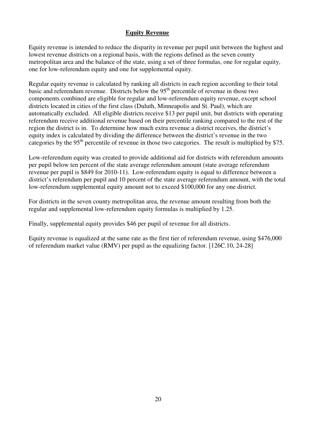# **Equity Revenue**

Equity revenue is intended to reduce the disparity in revenue per pupil unit between the highest and lowest revenue districts on a regional basis, with the regions defined as the seven county metropolitan area and the balance of the state, using a set of three formulas, one for regular equity, one for low-referendum equity and one for supplemental equity.

Regular equity revenue is calculated by ranking all districts in each region according to their total basic and referendum revenue. Districts below the 95<sup>th</sup> percentile of revenue in those two components combined are eligible for regular and low-referendum equity revenue, except school districts located in cities of the first class (Duluth, Minneapolis and St. Paul), which are automatically excluded. All eligible districts receive \$13 per pupil unit, but districts with operating referendum receive additional revenue based on their percentile ranking compared to the rest of the region the district is in. To determine how much extra revenue a district receives, the district's equity index is calculated by dividing the difference between the district's revenue in the two categories by the 95<sup>th</sup> percentile of revenue in those two categories. The result is multiplied by \$75.

Low-referendum equity was created to provide additional aid for districts with referendum amounts per pupil below ten percent of the state average referendum amount (state average referendum revenue per pupil is \$849 for 2010-11). Low-referendum equity is equal to difference between a district's referendum per pupil and 10 percent of the state average referendum amount, with the total low-referendum supplemental equity amount not to exceed \$100,000 for any one district.

For districts in the seven county metropolitan area, the revenue amount resulting from both the regular and supplemental low-referendum equity formulas is multiplied by 1.25.

Finally, supplemental equity provides \$46 per pupil of revenue for all districts.

Equity revenue is equalized at the same rate as the first tier of referendum revenue, using \$476,000 of referendum market value (RMV) per pupil as the equalizing factor. [126C.10, 24-28]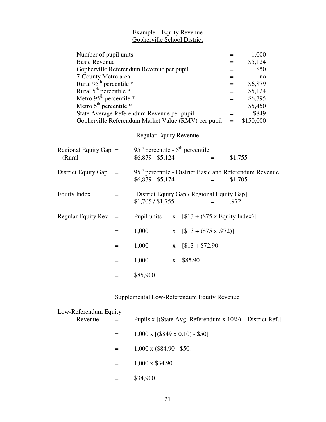#### Example – Equity Revenue Gopherville School District

| Number of pupil units                |                                                     |                                                                            | $=$  | 1,000     |  |
|--------------------------------------|-----------------------------------------------------|----------------------------------------------------------------------------|------|-----------|--|
| <b>Basic Revenue</b>                 |                                                     |                                                                            | $=$  | \$5,124   |  |
|                                      | Gopherville Referendum Revenue per pupil            |                                                                            | $=$  | \$50      |  |
| 7-County Metro area                  |                                                     |                                                                            | $=$  | no        |  |
| Rural 95 <sup>th</sup> percentile *  |                                                     |                                                                            | $=$  | \$6,879   |  |
| Rural $5^{\text{th}}$ percentile $*$ |                                                     |                                                                            | $=$  | \$5,124   |  |
| Metro $95^{\text{th}}$ percentile *  |                                                     |                                                                            | $=$  | \$6,795   |  |
| Metro $5th$ percentile $*$           |                                                     |                                                                            | $=$  | \$5,450   |  |
|                                      | State Average Referendum Revenue per pupil          |                                                                            | $=$  | \$849     |  |
|                                      | Gopherville Referendum Market Value (RMV) per pupil |                                                                            | $=$  | \$150,000 |  |
|                                      |                                                     |                                                                            |      |           |  |
|                                      |                                                     | <b>Regular Equity Revenue</b>                                              |      |           |  |
| Regional Equity Gap $=$<br>(Rural)   | $$6,879 - $5,124$                                   | $95th$ percentile - $5th$ percentile<br>$=$                                |      | \$1,755   |  |
| <b>District Equity Gap</b><br>$=$    | $$6,879 - $5,174$                                   | 95 <sup>th</sup> percentile - District Basic and Referendum Revenue<br>$=$ |      | \$1,705   |  |
| <b>Equity Index</b><br>$=$           | \$1,705 / \$1,755                                   | [District Equity Gap / Regional Equity Gap]<br>$=$                         | .972 |           |  |
| Regular Equity Rev. $=$              | Pupil units                                         | $[$13 + ($75 \times \text{Equity Index})]$<br>$\mathbf X$                  |      |           |  |
| $=$                                  | 1,000                                               | $[$13 + ($75 \times .972)]$<br>$\mathbf X$                                 |      |           |  |
| $=$                                  | 1,000                                               | $[$13 + $72.90]$<br>$\mathbf X$                                            |      |           |  |
| $=$                                  | 1,000                                               | \$85.90<br>$\mathbf X$                                                     |      |           |  |
| $=$                                  | \$85,900                                            |                                                                            |      |           |  |

# Supplemental Low-Referendum Equity Revenue

| Low-Referendum Equity |          |                                                              |
|-----------------------|----------|--------------------------------------------------------------|
| Revenue               | $\equiv$ | Pupils x [(State Avg. Referendum x $10\%$ ) – District Ref.] |
|                       |          | $1,000 \times [(\$849 \times 0.10) - \$50]$                  |
|                       | $=$      | $1,000 \times (\$84.90 - \$50)$                              |
|                       |          | $1,000 \times $34.90$                                        |
|                       |          | \$34,900                                                     |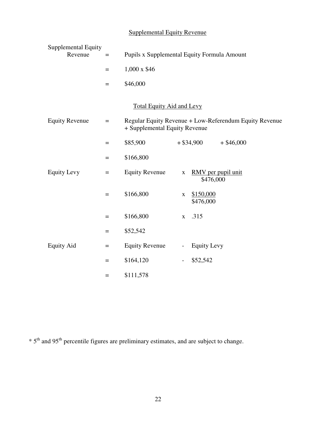# Supplemental Equity Revenue

| Supplemental Equity<br>Revenue | $\equiv$          | Pupils x Supplemental Equity Formula Amount |                          |                                 |                                                        |  |
|--------------------------------|-------------------|---------------------------------------------|--------------------------|---------------------------------|--------------------------------------------------------|--|
|                                | $=$               | 1,000 x \$46                                |                          |                                 |                                                        |  |
|                                | $\qquad \qquad =$ | \$46,000                                    |                          |                                 |                                                        |  |
|                                |                   | <b>Total Equity Aid and Levy</b>            |                          |                                 |                                                        |  |
| <b>Equity Revenue</b>          | $=$               | + Supplemental Equity Revenue               |                          |                                 | Regular Equity Revenue + Low-Referendum Equity Revenue |  |
|                                | $=$               | \$85,900                                    |                          | $+$ \$34,900                    | $+$ \$46,000                                           |  |
|                                | $=$               | \$166,800                                   |                          |                                 |                                                        |  |
| <b>Equity Levy</b>             | $\equiv$          | <b>Equity Revenue</b>                       | $\mathbf X$              | RMV per pupil unit<br>\$476,000 |                                                        |  |
|                                | $=$               | \$166,800                                   | $\mathbf X$              | \$150,000<br>\$476,000          |                                                        |  |
|                                | $=$               | \$166,800                                   | $\mathbf{X}$             | .315                            |                                                        |  |
|                                | $=$               | \$52,542                                    |                          |                                 |                                                        |  |
| <b>Equity Aid</b>              | $\quad =$         | <b>Equity Revenue</b>                       | $\overline{\phantom{a}}$ | <b>Equity Levy</b>              |                                                        |  |
|                                | $=$               | \$164,120                                   | $\overline{\phantom{a}}$ | \$52,542                        |                                                        |  |
|                                | $=$               | \$111,578                                   |                          |                                 |                                                        |  |

 $* 5<sup>th</sup>$  and 95<sup>th</sup> percentile figures are preliminary estimates, and are subject to change.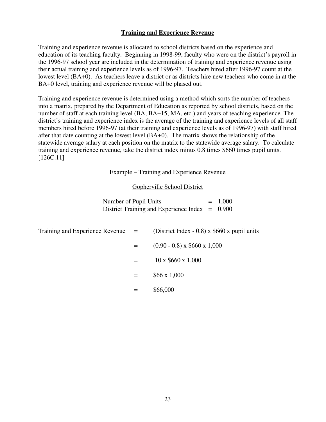# **Training and Experience Revenue**

Training and experience revenue is allocated to school districts based on the experience and education of its teaching faculty. Beginning in 1998-99, faculty who were on the district's payroll in the 1996-97 school year are included in the determination of training and experience revenue using their actual training and experience levels as of 1996-97. Teachers hired after 1996-97 count at the lowest level (BA+0). As teachers leave a district or as districts hire new teachers who come in at the BA+0 level, training and experience revenue will be phased out.

Training and experience revenue is determined using a method which sorts the number of teachers into a matrix, prepared by the Department of Education as reported by school districts, based on the number of staff at each training level (BA, BA+15, MA, etc.) and years of teaching experience. The district's training and experience index is the average of the training and experience levels of all staff members hired before 1996-97 (at their training and experience levels as of 1996-97) with staff hired after that date counting at the lowest level (BA+0). The matrix shows the relationship of the statewide average salary at each position on the matrix to the statewide average salary. To calculate training and experience revenue, take the district index minus 0.8 times \$660 times pupil units. [126C.11]

#### Example – Training and Experience Revenue

#### Gopherville School District

| Number of Pupil Units                            | $= 1,000$ |
|--------------------------------------------------|-----------|
| District Training and Experience Index $= 0.900$ |           |

| Training and Experience Revenue $=$ |     | (District Index - 0.8) x $$660 x$ pupil units |
|-------------------------------------|-----|-----------------------------------------------|
|                                     | $=$ | $(0.90 - 0.8)$ x \$660 x 1,000                |
|                                     | $=$ | $.10 \times $660 \times 1,000$                |
|                                     | $=$ | \$66x1,000                                    |
|                                     |     | \$66,000                                      |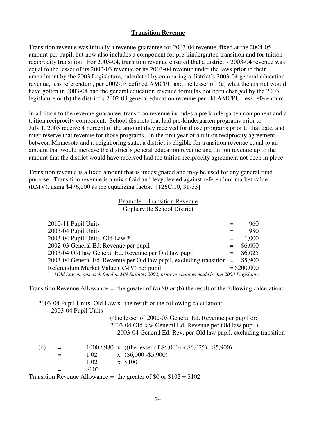#### **Transition Revenue**

Transition revenue was initially a revenue guarantee for 2003-04 revenue, fixed at the 2004-05 amount per pupil, but now also includes a component for pre-kindergarten transition and for tuition reciprocity transition. For 2003-04, transition revenue ensured that a district's 2003-04 revenue was equal to the lesser of its 2002-03 revenue or its 2003-04 revenue under the laws prior to their amendment by the 2003 Legislature, calculated by comparing a district's 2003-04 general education revenue, less referendum, per 2002-03 defined AMCPU and the lesser of: (a) what the district would have gotten in 2003-04 had the general education revenue formulas not been changed by the 2003 legislature or (b) the district's 2002-03 general education revenue per old AMCPU, less referendum.

In addition to the revenue guarantee, transition revenue includes a pre-kindergarten component and a tuition reciprocity component. School districts that had pre-kindergarten programs prior to July 1, 2003 receive 4 percent of the amount they received for those programs prior to that date, and must reserve that revenue for those programs. In the first year of a tuition reciprocity agreement between Minnesota and a neighboring state, a district is eligible for transition revenue equal to an amount that would increase the district's general education revenue and tuition revenue up to the amount that the district would have received had the tuition reciprocity agreement not been in place.

Transition revenue is a fixed amount that is undesignated and may be used for any general fund purpose. Transition revenue is a mix of aid and levy, levied against referendum market value (RMV), using \$476,000 as the equalizing factor. [126C.10, 31-33]

#### Example – Transition Revenue Gopherville School District

| 2010-11 Pupil Units                                                                          |         | 960           |
|----------------------------------------------------------------------------------------------|---------|---------------|
| 2003-04 Pupil Units                                                                          |         | 980           |
| 2003-04 Pupil Units, Old Law *                                                               | $=$     | 1,000         |
| 2002-03 General Ed. Revenue per pupil                                                        | $=$ $-$ | \$6,000       |
| 2003-04 Old law General Ed. Revenue per Old law pupil                                        | $=$     | \$6,025       |
| $2003-04$ General Ed. Revenue per Old law pupil, excluding transition = \$5,900              |         |               |
| Referendum Market Value (RMV) per pupil                                                      |         | $=$ \$200,000 |
| *Old Law means as defined in MN Statutes 2002, prior to changes made by the 2003 Legislature |         |               |

Transition Revenue Allowance = the greater of (a)  $$0$  or (b) the result of the following calculation:

2003-04 Pupil Units, Old Law x the result of the following calculation:

|     |     | 2003-04 Pupil Units |                                                                    |
|-----|-----|---------------------|--------------------------------------------------------------------|
|     |     |                     | ((the lesser of $2002-03$ General Ed. Revenue per pupil or:        |
|     |     |                     | 2003-04 Old law General Ed. Revenue per Old law pupil)             |
|     |     |                     | - 2003-04 General Ed. Rev. per Old law pupil, excluding transition |
| (b) | $=$ |                     | $1000 / 980$ x ((the lesser of \$6,000 or \$6,025) - \$5,900)      |
|     | $=$ | 1.02                | $\bar{x}$ (\$6,000 - \$5,900)                                      |
|     |     | 1.02                | x \$100                                                            |
|     |     | \$102               |                                                                    |
|     |     |                     | Transition Revenue Allowance = the greater of \$0 or $$102 = $102$ |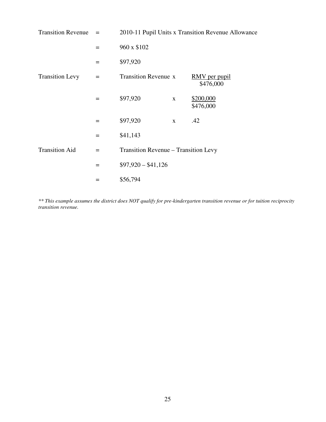| <b>Transition Revenue</b> | $=$ | 2010-11 Pupil Units x Transition Revenue Allowance |              |                                   |  |  |  |
|---------------------------|-----|----------------------------------------------------|--------------|-----------------------------------|--|--|--|
|                           | $=$ | 960 x \$102                                        |              |                                   |  |  |  |
|                           | $=$ | \$97,920                                           |              |                                   |  |  |  |
| <b>Transition Levy</b>    | $=$ | <b>Transition Revenue x</b>                        |              | <u>RMV</u> per pupil<br>\$476,000 |  |  |  |
|                           | $=$ | \$97,920                                           | $\mathbf{X}$ | \$200,000<br>\$476,000            |  |  |  |
|                           | $=$ | \$97,920                                           | $\mathbf{x}$ | .42                               |  |  |  |
|                           | $=$ | \$41,143                                           |              |                                   |  |  |  |
| <b>Transition Aid</b>     | $=$ | Transition Revenue – Transition Levy               |              |                                   |  |  |  |
|                           | $=$ | $$97,920 - $41,126$                                |              |                                   |  |  |  |
|                           |     | \$56,794                                           |              |                                   |  |  |  |

*\*\* This example assumes the district does NOT qualify for pre-kindergarten transition revenue or for tuition reciprocity transition revenue.*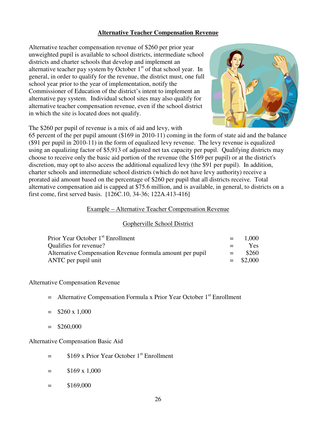# **Alternative Teacher Compensation Revenue**

Alternative teacher compensation revenue of \$260 per prior year unweighted pupil is available to school districts, intermediate school districts and charter schools that develop and implement an alternative teacher pay system by October  $1<sup>st</sup>$  of that school year. In general, in order to qualify for the revenue, the district must, one full school year prior to the year of implementation, notify the Commissioner of Education of the district's intent to implement an alternative pay system. Individual school sites may also qualify for alternative teacher compensation revenue, even if the school district in which the site is located does not qualify.



The \$260 per pupil of revenue is a mix of aid and levy, with

65 percent of the per pupil amount (\$169 in 2010-11) coming in the form of state aid and the balance (\$91 per pupil in 2010-11) in the form of equalized levy revenue. The levy revenue is equalized using an equalizing factor of \$5,913 of adjusted net tax capacity per pupil. Qualifying districts may choose to receive only the basic aid portion of the revenue (the \$169 per pupil) or at the district's discretion, may opt to also access the additional equalized levy (the \$91 per pupil). In addition, charter schools and intermediate school districts (which do not have levy authority) receive a prorated aid amount based on the percentage of \$260 per pupil that all districts receive. Total alternative compensation aid is capped at \$75.6 million, and is available, in general, to districts on a first come, first served basis. [126C.10, 34-36; 122A.413-416]

#### Example – Alternative Teacher Compensation Revenue

#### Gopherville School District

| Prior Year October 1 <sup>st</sup> Enrollment             |         | $= 1,000$   |
|-----------------------------------------------------------|---------|-------------|
| Qualifies for revenue?                                    | $=$ $-$ | Yes:        |
| Alternative Compensation Revenue formula amount per pupil | $=$ $-$ | \$260       |
| ANTC per pupil unit                                       |         | $=$ \$2,000 |

Alternative Compensation Revenue

 $=$  Alternative Compensation Formula x Prior Year October  $1<sup>st</sup>$  Enrollment

 $=$  \$260 x 1,000

 $=$  \$260,000

Alternative Compensation Basic Aid

- $=$  \$169 x Prior Year October 1<sup>st</sup> Enrollment
- $=$  \$169 x 1,000
- $=$  \$169,000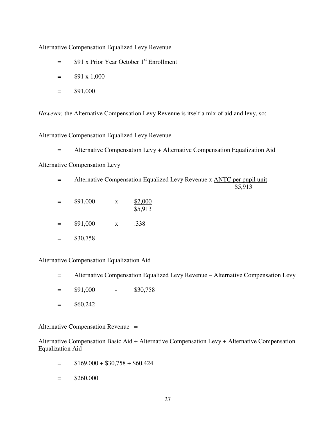Alternative Compensation Equalized Levy Revenue

- $=$  \$91 x Prior Year October 1<sup>st</sup> Enrollment
- $=$  \$91 x 1,000
- $=$  \$91,000

*However,* the Alternative Compensation Levy Revenue is itself a mix of aid and levy, so:

Alternative Compensation Equalized Levy Revenue

= Alternative Compensation Levy + Alternative Compensation Equalization Aid

Alternative Compensation Levy

 = Alternative Compensation Equalized Levy Revenue x ANTC per pupil unit \$5,913

- $=$  \$91,000 x \$2,000 \$5,913
- $=$  \$91,000 x .338
- $=$  \$30,758

Alternative Compensation Equalization Aid

- = Alternative Compensation Equalized Levy Revenue Alternative Compensation Levy
- $=$  \$91,000 \$30,758
- $=$  \$60,242

Alternative Compensation Revenue =

Alternative Compensation Basic Aid + Alternative Compensation Levy + Alternative Compensation Equalization Aid

- $=$  \$169,000 + \$30,758 + \$60,424
- $=$  \$260,000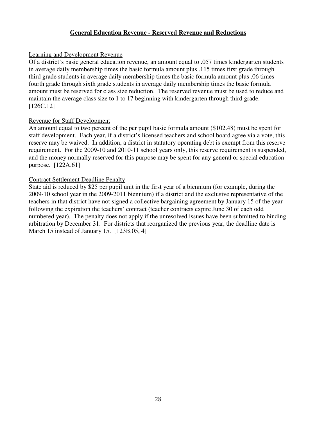# **General Education Revenue - Reserved Revenue and Reductions**

# Learning and Development Revenue

Of a district's basic general education revenue, an amount equal to .057 times kindergarten students in average daily membership times the basic formula amount plus .115 times first grade through third grade students in average daily membership times the basic formula amount plus .06 times fourth grade through sixth grade students in average daily membership times the basic formula amount must be reserved for class size reduction. The reserved revenue must be used to reduce and maintain the average class size to 1 to 17 beginning with kindergarten through third grade. [126C.12]

# Revenue for Staff Development

An amount equal to two percent of the per pupil basic formula amount (\$102.48) must be spent for staff development. Each year, if a district's licensed teachers and school board agree via a vote, this reserve may be waived. In addition, a district in statutory operating debt is exempt from this reserve requirement. For the 2009-10 and 2010-11 school years only, this reserve requirement is suspended, and the money normally reserved for this purpose may be spent for any general or special education purpose. [122A.61]

# Contract Settlement Deadline Penalty

State aid is reduced by \$25 per pupil unit in the first year of a biennium (for example, during the 2009-10 school year in the 2009-2011 biennium) if a district and the exclusive representative of the teachers in that district have not signed a collective bargaining agreement by January 15 of the year following the expiration the teachers' contract (teacher contracts expire June 30 of each odd numbered year). The penalty does not apply if the unresolved issues have been submitted to binding arbitration by December 31. For districts that reorganized the previous year, the deadline date is March 15 instead of January 15. [123B.05, 4]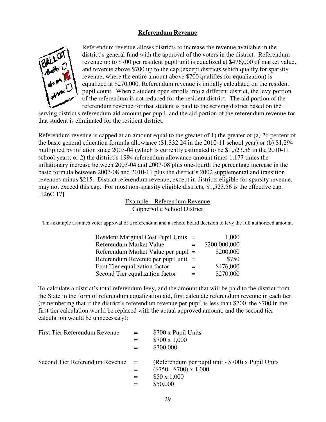# **Referendum Revenue**



Referendum revenue allows districts to increase the revenue available in the district's general fund with the approval of the voters in the district. Referendum revenue up to \$700 per resident pupil unit is equalized at \$476,000 of market value, and revenue above \$700 up to the cap (except districts which qualify for sparsity revenue, where the entire amount above \$700 qualifies for equalization) is equalized at \$270,000. Referendum revenue is initially calculated on the resident pupil count. When a student open enrolls into a different district, the levy portion of the referendum is not reduced for the resident district. The aid portion of the referendum revenue for that student is paid to the serving district based on the

serving district's referendum aid amount per pupil, and the aid portion of the referendum revenue for that student is eliminated for the resident district.

Referendum revenue is capped at an amount equal to the greater of 1) the greater of (a) 26 percent of the basic general education formula allowance (\$1,332.24 in the 2010-11 school year) or (b) \$1,294 multiplied by inflation since 2003-04 (which is currently estimated to be \$1,523.56 in the 2010-11 school year); or 2) the district's 1994 referendum allowance amount times 1.177 times the inflationary increase between 2003-04 and 2007-08 plus one-fourth the percentage increase in the basic formula between 2007-08 and 2010-11 plus the district's 2002 supplemental and transition revenues minus \$215. District referendum revenue, except in districts eligible for sparsity revenue, may not exceed this cap. For most non-sparsity eligible districts, \$1,523.56 is the effective cap. [126C.17]

> Example – Referendum Revenue Gopherville School District

This example assumes voter approval of a referendum and a school board decision to levy the full authorized amount.

| Resident Marginal Cost Pupil Units =  |     | 1,000         |
|---------------------------------------|-----|---------------|
| Referendum Market Value               | $=$ | \$200,000,000 |
| Referendum Market Value per pupil =   |     | \$200,000     |
| Referendum Revenue per pupil unit $=$ |     | \$750         |
| First Tier equalization factor        |     | \$476,000     |
| Second Tier equalization factor       |     | \$270,000     |

To calculate a district's total referendum levy, and the amount that will be paid to the district from the State in the form of referendum equalization aid, first calculate referendum revenue in each tier (remembering that if the district's referendum revenue per pupil is less than \$700, the \$700 in the first tier calculation would be replaced with the actual approved amount, and the second tier calculation would be unnecessary):

| First Tier Referendum Revenue  | $=$ | \$700 x Pupil Units                               |
|--------------------------------|-----|---------------------------------------------------|
|                                |     | $$700 \times 1,000$                               |
|                                |     | \$700,000                                         |
| Second Tier Referendum Revenue | $=$ | (Referendum per pupil unit - \$700) x Pupil Units |
|                                |     | $(\$750 - \$700) \times 1,000$                    |
|                                |     | $$50 \times 1,000$                                |
|                                |     | \$50,000                                          |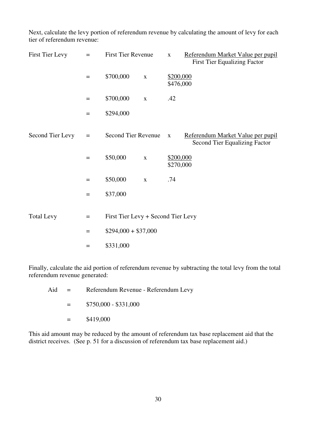Next, calculate the levy portion of referendum revenue by calculating the amount of levy for each tier of referendum revenue:

| First Tier Levy   | $=$               | <b>First Tier Revenue</b>          |             | $\mathbf{X}$           | Referendum Market Value per pupil<br><b>First Tier Equalizing Factor</b>  |
|-------------------|-------------------|------------------------------------|-------------|------------------------|---------------------------------------------------------------------------|
|                   | $\qquad \qquad =$ | \$700,000                          | $\mathbf X$ | \$200,000<br>\$476,000 |                                                                           |
|                   | $=$               | \$700,000                          | $\mathbf X$ | .42                    |                                                                           |
|                   | $\equiv$          | \$294,000                          |             |                        |                                                                           |
| Second Tier Levy  | $=$               | Second Tier Revenue                |             | $\mathbf{X}$           | Referendum Market Value per pupil<br><b>Second Tier Equalizing Factor</b> |
|                   | $=$               | \$50,000                           | $\mathbf X$ | \$200,000<br>\$270,000 |                                                                           |
|                   | $\qquad \qquad =$ | \$50,000                           | $\mathbf X$ | .74                    |                                                                           |
|                   | $=$               | \$37,000                           |             |                        |                                                                           |
| <b>Total Levy</b> | $\qquad \qquad =$ | First Tier Levy + Second Tier Levy |             |                        |                                                                           |
|                   | $\qquad \qquad =$ | $$294,000 + $37,000$               |             |                        |                                                                           |
|                   | $=$               | \$331,000                          |             |                        |                                                                           |

Finally, calculate the aid portion of referendum revenue by subtracting the total levy from the total referendum revenue generated:

| Aid | $\equiv$ | Referendum Revenue - Referendum Levy |
|-----|----------|--------------------------------------|
|     | $=$      | $$750,000 - $331,000$                |
|     | $=$ $-$  | \$419,000                            |

This aid amount may be reduced by the amount of referendum tax base replacement aid that the district receives. (See p. 51 for a discussion of referendum tax base replacement aid.)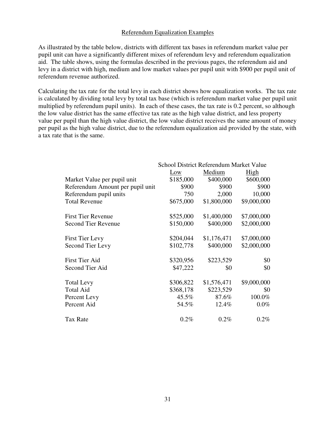# Referendum Equalization Examples

As illustrated by the table below, districts with different tax bases in referendum market value per pupil unit can have a significantly different mixes of referendum levy and referendum equalization aid. The table shows, using the formulas described in the previous pages, the referendum aid and levy in a district with high, medium and low market values per pupil unit with \$900 per pupil unit of referendum revenue authorized.

Calculating the tax rate for the total levy in each district shows how equalization works. The tax rate is calculated by dividing total levy by total tax base (which is referendum market value per pupil unit multiplied by referendum pupil units). In each of these cases, the tax rate is 0.2 percent, so although the low value district has the same effective tax rate as the high value district, and less property value per pupil than the high value district, the low value district receives the same amount of money per pupil as the high value district, due to the referendum equalization aid provided by the state, with a tax rate that is the same.

|                                  | School District Referendum Market Value |             |             |
|----------------------------------|-----------------------------------------|-------------|-------------|
|                                  | Low                                     | Medium      | High        |
| Market Value per pupil unit      | \$185,000                               | \$400,000   | \$600,000   |
| Referendum Amount per pupil unit | \$900                                   | \$900       | \$900       |
| Referendum pupil units           | 750                                     | 2,000       | 10,000      |
| <b>Total Revenue</b>             | \$675,000                               | \$1,800,000 | \$9,000,000 |
| <b>First Tier Revenue</b>        | \$525,000                               | \$1,400,000 | \$7,000,000 |
| <b>Second Tier Revenue</b>       | \$150,000                               | \$400,000   | \$2,000,000 |
| <b>First Tier Levy</b>           | \$204,044                               | \$1,176,471 | \$7,000,000 |
| Second Tier Levy                 | \$102,778                               | \$400,000   | \$2,000,000 |
| First Tier Aid                   | \$320,956                               | \$223,529   | \$0         |
| Second Tier Aid                  | \$47,222                                | \$0         | \$0         |
| <b>Total Levy</b>                | \$306,822                               | \$1,576,471 | \$9,000,000 |
| <b>Total Aid</b>                 | \$368,178                               | \$223,529   | \$0         |
| Percent Levy                     | 45.5%                                   | 87.6%       | 100.0%      |
| Percent Aid                      | 54.5%                                   | 12.4%       | $0.0\%$     |
| <b>Tax Rate</b>                  | 0.2%                                    | 0.2%        | $0.2\%$     |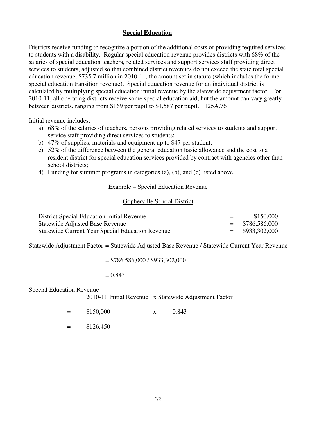#### **Special Education**

Districts receive funding to recognize a portion of the additional costs of providing required services to students with a disability. Regular special education revenue provides districts with 68% of the salaries of special education teachers, related services and support services staff providing direct services to students, adjusted so that combined district revenues do not exceed the state total special education revenue, \$735.7 million in 2010-11, the amount set in statute (which includes the former special education transition revenue). Special education revenue for an individual district is calculated by multiplying special education initial revenue by the statewide adjustment factor. For 2010-11, all operating districts receive some special education aid, but the amount can vary greatly between districts, ranging from \$169 per pupil to \$1,587 per pupil. [125A.76]

Initial revenue includes:

- a) 68% of the salaries of teachers, persons providing related services to students and support service staff providing direct services to students;
- b) 47% of supplies, materials and equipment up to \$47 per student;
- c) 52% of the difference between the general education basic allowance and the cost to a resident district for special education services provided by contract with agencies other than school districts;
- d) Funding for summer programs in categories (a), (b), and (c) listed above.

#### Example – Special Education Revenue

#### Gopherville School District

| District Special Education Initial Revenue              | $=$ | \$150,000         |
|---------------------------------------------------------|-----|-------------------|
| <b>Statewide Adjusted Base Revenue</b>                  |     | $=$ \$786,586,000 |
| <b>Statewide Current Year Special Education Revenue</b> |     | $=$ \$933,302,000 |

Statewide Adjustment Factor = Statewide Adjusted Base Revenue / Statewide Current Year Revenue

 $= $786,586,000 / $933,302,000$ 

#### $= 0.843$

Special Education Revenue

- = 2010-11 Initial Revenue x Statewide Adjustment Factor
- $=$  \$150,000 x 0.843

 $=$  \$126,450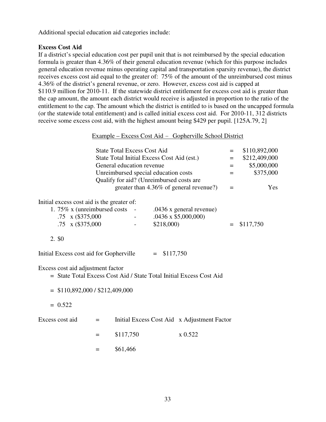Additional special education aid categories include:

# **Excess Cost Aid**

If a district's special education cost per pupil unit that is not reimbursed by the special education formula is greater than 4.36% of their general education revenue (which for this purpose includes general education revenue minus operating capital and transportation sparsity revenue), the district receives excess cost aid equal to the greater of: 75% of the amount of the unreimbursed cost minus 4.36% of the district's general revenue, or zero. However, excess cost aid is capped at \$110.9 million for 2010-11. If the statewide district entitlement for excess cost aid is greater than the cap amount, the amount each district would receive is adjusted in proportion to the ratio of the entitlement to the cap. The amount which the district is entitled to is based on the uncapped formula (or the statewide total entitlement) and is called initial excess cost aid. For 2010-11, 312 districts receive some excess cost aid, with the highest amount being \$429 per pupil. [125A.79, 2]

#### Example – Excess Cost Aid - Gopherville School District

|                                                                                                          | <b>State Total Excess Cost Aid</b>       |                  |                                             | $=$ | \$110,892,000 |
|----------------------------------------------------------------------------------------------------------|------------------------------------------|------------------|---------------------------------------------|-----|---------------|
| State Total Initial Excess Cost Aid (est.)                                                               |                                          |                  |                                             | $=$ | \$212,409,000 |
|                                                                                                          | General education revenue                |                  |                                             | $=$ | \$5,000,000   |
|                                                                                                          | Unreimbursed special education costs     |                  |                                             | $=$ | \$375,000     |
|                                                                                                          | Qualify for aid? (Unreimbursed costs are |                  |                                             |     |               |
|                                                                                                          |                                          |                  | greater than 4.36% of general revenue?)     | $=$ | Yes           |
| Initial excess cost aid is the greater of:                                                               |                                          |                  |                                             |     |               |
| 1. 75% x (unreimbursed costs)                                                                            |                                          |                  | $.0436$ x general revenue)                  |     |               |
| $.75 \times (\$375,000$                                                                                  |                                          |                  | $.0436 \times $5,000,000$                   |     |               |
| $.75 \times (\$375,000$                                                                                  |                                          | \$218,000        |                                             | $=$ | \$117,750     |
|                                                                                                          |                                          |                  |                                             |     |               |
| 2. \$0                                                                                                   |                                          |                  |                                             |     |               |
| Initial Excess cost aid for Gopherville                                                                  |                                          | \$117,750<br>$=$ |                                             |     |               |
| Excess cost aid adjustment factor<br>= State Total Excess Cost Aid / State Total Initial Excess Cost Aid |                                          |                  |                                             |     |               |
| $=$ \$110,892,000 / \$212,409,000                                                                        |                                          |                  |                                             |     |               |
|                                                                                                          |                                          |                  |                                             |     |               |
| $= 0.522$                                                                                                |                                          |                  |                                             |     |               |
| Excess cost aid<br>$=$                                                                                   |                                          |                  | Initial Excess Cost Aid x Adjustment Factor |     |               |
| $=$                                                                                                      | \$117,750                                |                  | x 0.522                                     |     |               |
| $=$                                                                                                      | \$61,466                                 |                  |                                             |     |               |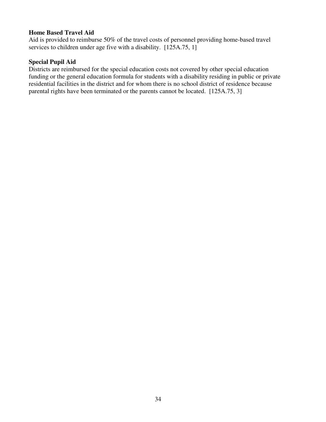# **Home Based Travel Aid**

Aid is provided to reimburse 50% of the travel costs of personnel providing home-based travel services to children under age five with a disability. [125A.75, 1]

#### **Special Pupil Aid**

Districts are reimbursed for the special education costs not covered by other special education funding or the general education formula for students with a disability residing in public or private residential facilities in the district and for whom there is no school district of residence because parental rights have been terminated or the parents cannot be located. [125A.75, 3]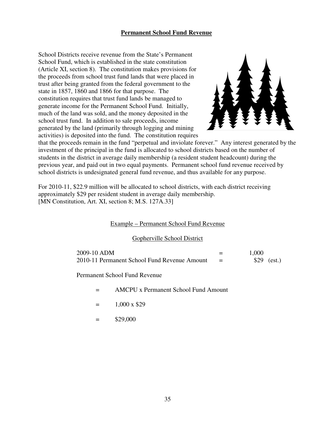# **Permanent School Fund Revenue**

School Districts receive revenue from the State's Permanent School Fund, which is established in the state constitution (Article XI, section 8). The constitution makes provisions for the proceeds from school trust fund lands that were placed in trust after being granted from the federal government to the state in 1857, 1860 and 1866 for that purpose. The constitution requires that trust fund lands be managed to generate income for the Permanent School Fund. Initially, much of the land was sold, and the money deposited in the school trust fund. In addition to sale proceeds, income generated by the land (primarily through logging and mining activities) is deposited into the fund. The constitution requires



that the proceeds remain in the fund "perpetual and inviolate forever." Any interest generated by the investment of the principal in the fund is allocated to school districts based on the number of students in the district in average daily membership (a resident student headcount) during the previous year, and paid out in two equal payments. Permanent school fund revenue received by school districts is undesignated general fund revenue, and thus available for any purpose.

For 2010-11, \$22.9 million will be allocated to school districts, with each district receiving approximately \$29 per resident student in average daily membership. [MN Constitution, Art. XI, section 8; M.S. 127A.33]

#### Example – Permanent School Fund Revenue

#### Gopherville School District

| 2009-10 ADM                                  |     | 1,000        |
|----------------------------------------------|-----|--------------|
| 2010-11 Permanent School Fund Revenue Amount | $=$ | $$29$ (est.) |

Permanent School Fund Revenue

- = AMCPU x Permanent School Fund Amount
- $=$  1,000 x \$29
- $=$  \$29,000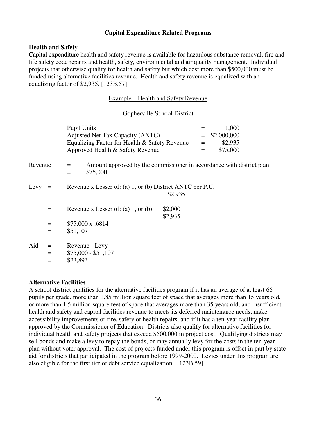# **Capital Expenditure Related Programs**

#### **Health and Safety**

Capital expenditure health and safety revenue is available for hazardous substance removal, fire and life safety code repairs and health, safety, environmental and air quality management. Individual projects that otherwise qualify for health and safety but which cost more than \$500,000 must be funded using alternative facilities revenue. Health and safety revenue is equalized with an equalizing factor of \$2,935. [123B.57]

#### Example – Health and Safety Revenue

#### Gopherville School District

|         |                   | <b>Pupil Units</b><br>Adjusted Net Tax Capacity (ANTC)<br>Equalizing Factor for Health & Safety Revenue<br>Approved Health & Safety Revenue | $=$<br>$=$<br>$=$<br>$=$ | 1,000<br>\$2,000,000<br>\$2,935<br>\$75,000 |
|---------|-------------------|---------------------------------------------------------------------------------------------------------------------------------------------|--------------------------|---------------------------------------------|
| Revenue |                   | Amount approved by the commissioner in accordance with district plan<br>$=$<br>\$75,000<br>$=$                                              |                          |                                             |
| Levy    | $=$               | Revenue x Lesser of: (a) 1, or (b) District ANTC per P.U.                                                                                   | \$2,935                  |                                             |
|         | $=$               | Revenue x Lesser of: (a) $1$ , or (b)                                                                                                       | \$2,000<br>\$2,935       |                                             |
|         | $=$               | \$75,000 x .6814                                                                                                                            |                          |                                             |
|         | $=$               | \$51,107                                                                                                                                    |                          |                                             |
| Aid     | $=$<br>$=$<br>$=$ | Revenue - Levy<br>$$75,000 - $51,107$<br>\$23,893                                                                                           |                          |                                             |

#### **Alternative Facilities**

A school district qualifies for the alternative facilities program if it has an average of at least 66 pupils per grade, more than 1.85 million square feet of space that averages more than 15 years old, or more than 1.5 million square feet of space that averages more than 35 years old, and insufficient health and safety and capital facilities revenue to meets its deferred maintenance needs, make accessibility improvements or fire, safety or health repairs, and if it has a ten-year facility plan approved by the Commissioner of Education. Districts also qualify for alternative facilities for individual health and safety projects that exceed \$500,000 in project cost. Qualifying districts may sell bonds and make a levy to repay the bonds, or may annually levy for the costs in the ten-year plan without voter approval. The cost of projects funded under this program is offset in part by state aid for districts that participated in the program before 1999-2000. Levies under this program are also eligible for the first tier of debt service equalization. [123B.59]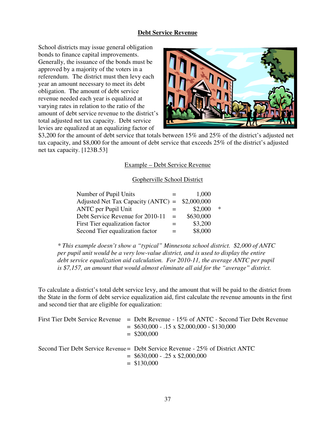#### **Debt Service Revenue**

School districts may issue general obligation bonds to finance capital improvements. Generally, the issuance of the bonds must be approved by a majority of the voters in a referendum. The district must then levy each year an amount necessary to meet its debt obligation. The amount of debt service revenue needed each year is equalized at varying rates in relation to the ratio of the amount of debt service revenue to the district's total adjusted net tax capacity. Debt service levies are equalized at an equalizing factor of



\$3,200 for the amount of debt service that totals between 15% and 25% of the district's adjusted net tax capacity, and \$8,000 for the amount of debt service that exceeds 25% of the district's adjusted net tax capacity. [123B.53]

#### Example – Debt Service Revenue

#### Gopherville School District

| Number of Pupil Units                            | 1,000     |        |
|--------------------------------------------------|-----------|--------|
| Adjusted Net Tax Capacity (ANTC) = $$2,000,000$  |           |        |
| <b>ANTC</b> per Pupil Unit                       | \$2,000   | $\ast$ |
| Debt Service Revenue for 2010-11<br>$\alpha = 1$ | \$630,000 |        |
| First Tier equalization factor                   | \$3,200   |        |
| Second Tier equalization factor                  | \$8,000   |        |

*\* This example doesn't show a "typical" Minnesota school district. \$2,000 of ANTC per pupil unit would be a very low-value district, and is used to display the entire debt service equalization aid calculation. For 2010-11, the average ANTC per pupil is \$7,157, an amount that would almost eliminate all aid for the "average" district.*

To calculate a district's total debt service levy, and the amount that will be paid to the district from the State in the form of debt service equalization aid, first calculate the revenue amounts in the first and second tier that are eligible for equalization:

| First Tier Debt Service Revenue $=$ Debt Revenue - 15% of ANTC - Second Tier Debt Revenue<br>$=$ \$630,000 - .15 x \$2,000,000 - \$130,000<br>$=$ \$200,000 |
|-------------------------------------------------------------------------------------------------------------------------------------------------------------|
| Second Tier Debt Service Revenue = Debt Service Revenue - 25% of District ANTC<br>$=$ \$630,000 - .25 x \$2,000,000<br>$=$ \$130,000                        |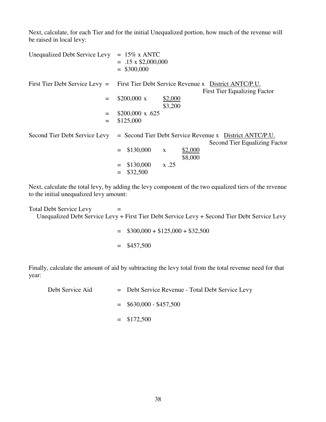Next, calculate, for each Tier and for the initial Unequalized portion, how much of the revenue will be raised in local levy:

| <b>Unequalized Debt Service Levy</b> | $= 15\%$ x ANTC<br>$= .15 \times $2,000,000$<br>$=$ \$300,000                               |
|--------------------------------------|---------------------------------------------------------------------------------------------|
| First Tier Debt Service Levy $=$     | First Tier Debt Service Revenue x District ANTC/P.U.<br><b>First Tier Equalizing Factor</b> |
| $=$                                  | $$200,000 \text{ x}$<br>\$2,000<br>\$3,200                                                  |
| $=$<br>$=$                           | $$200,000 \times .625$<br>\$125,000                                                         |
| Second Tier Debt Service Levy        | = Second Tier Debt Service Revenue x District ANTC/P.U.<br>Second Tier Equalizing Factor    |
|                                      | \$130,000<br>\$2,000<br>$\mathbf{X}$<br>\$8,000                                             |
|                                      | \$130,000<br>x.25<br>\$32,500                                                               |

Next, calculate the total levy, by adding the levy component of the two equalized tiers of the revenue to the initial unequalized levy amount:

 $Total Deb$  Service Levy  $=$ Unequalized Debt Service Levy + First Tier Debt Service Levy + Second Tier Debt Service Levy

> $=$  \$300,000 + \$125,000 + \$32,500  $=$  \$457,500

Finally, calculate the amount of aid by subtracting the levy total from the total revenue need for that year:

| Debt Service Aid | = Debt Service Revenue - Total Debt Service Levy |
|------------------|--------------------------------------------------|
|                  | $=$ \$630,000 - \$457,500                        |
|                  | $=$ \$172,500                                    |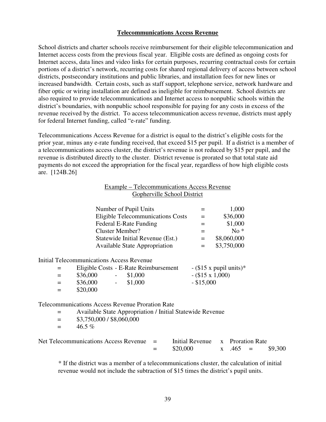# **Telecommunications Access Revenue**

School districts and charter schools receive reimbursement for their eligible telecommunication and Internet access costs from the previous fiscal year. Eligible costs are defined as ongoing costs for Internet access, data lines and video links for certain purposes, recurring contractual costs for certain portions of a district's network, recurring costs for shared regional delivery of access between school districts, postsecondary institutions and public libraries, and installation fees for new lines or increased bandwidth. Certain costs, such as staff support, telephone service, network hardware and fiber optic or wiring installation are defined as ineligible for reimbursement. School districts are also required to provide telecommunications and Internet access to nonpublic schools within the district's boundaries, with nonpublic school responsible for paying for any costs in excess of the revenue received by the district. To access telecommunication access revenue, districts must apply for federal Internet funding, called "e-rate" funding.

Telecommunications Access Revenue for a district is equal to the district's eligible costs for the prior year, minus any e-rate funding received, that exceed \$15 per pupil. If a district is a member of a telecommunications access cluster, the district's revenue is not reduced by \$15 per pupil, and the revenue is distributed directly to the cluster. District revenue is prorated so that total state aid payments do not exceed the appropriation for the fiscal year, regardless of how high eligible costs are. [124B.26]

# Example – Telecommunications Access Revenue Gopherville School District

| Number of Pupil Units                    | $=$ | 1,000       |
|------------------------------------------|-----|-------------|
| <b>Eligible Telecommunications Costs</b> | $=$ | \$36,000    |
| Federal E-Rate Funding                   | $=$ | \$1,000     |
| <b>Cluster Member?</b>                   |     | $No*$       |
| Statewide Initial Revenue (Est.)         | $=$ | \$8,060,000 |
| <b>Available State Appropriation</b>     |     | \$3,750,000 |

Initial Telecommunications Access Revenue

| $=$ $-$ | Eligible Costs - E-Rate Reimbursement | $-(\$15 \times \text{pupil units})^*$ |
|---------|---------------------------------------|---------------------------------------|
| $=$     | \$36,000<br>$-$ \$1,000               | $-(\$15 \times 1,000)$                |
| $=$ $-$ | \$36,000<br>$-$ \$1,000               | $-$ \$15,000                          |
| $=$ $-$ | \$20,000                              |                                       |

Telecommunications Access Revenue Proration Rate

- = Available State Appropriation / Initial Statewide Revenue
- $=$  \$3,750,000 / \$8,060,000
- $=$  46.5%

| Net Telecommunications Access Revenue $=$ |     | Initial Revenue x Proration Rate |                  |         |
|-------------------------------------------|-----|----------------------------------|------------------|---------|
|                                           | $=$ | \$20,000                         | $x \quad .465 =$ | \$9,300 |

\* If the district was a member of a telecommunications cluster, the calculation of initial revenue would not include the subtraction of \$15 times the district's pupil units.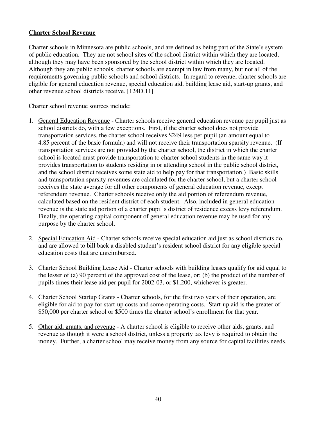# **Charter School Revenue**

Charter schools in Minnesota are public schools, and are defined as being part of the State's system of public education. They are not school sites of the school district within which they are located, although they may have been sponsored by the school district within which they are located. Although they are public schools, charter schools are exempt in law from many, but not all of the requirements governing public schools and school districts. In regard to revenue, charter schools are eligible for general education revenue, special education aid, building lease aid, start-up grants, and other revenue school districts receive. [124D.11]

Charter school revenue sources include:

- 1. General Education Revenue Charter schools receive general education revenue per pupil just as school districts do, with a few exceptions. First, if the charter school does not provide transportation services, the charter school receives \$249 less per pupil (an amount equal to 4.85 percent of the basic formula) and will not receive their transportation sparsity revenue. (If transportation services are not provided by the charter school, the district in which the charter school is located must provide transportation to charter school students in the same way it provides transportation to students residing in or attending school in the public school district, and the school district receives some state aid to help pay for that transportation.) Basic skills and transportation sparsity revenues are calculated for the charter school, but a charter school receives the state average for all other components of general education revenue, except referendum revenue. Charter schools receive only the aid portion of referendum revenue, calculated based on the resident district of each student. Also, included in general education revenue is the state aid portion of a charter pupil's district of residence excess levy referendum. Finally, the operating capital component of general education revenue may be used for any purpose by the charter school.
- 2. Special Education Aid Charter schools receive special education aid just as school districts do, and are allowed to bill back a disabled student's resident school district for any eligible special education costs that are unreimbursed.
- 3. Charter School Building Lease Aid Charter schools with building leases qualify for aid equal to the lesser of (a) 90 percent of the approved cost of the lease, or; (b) the product of the number of pupils times their lease aid per pupil for 2002-03, or \$1,200, whichever is greater.
- 4. Charter School Startup Grants Charter schools, for the first two years of their operation, are eligible for aid to pay for start-up costs and some operating costs. Start-up aid is the greater of \$50,000 per charter school or \$500 times the charter school's enrollment for that year.
- 5. Other aid, grants, and revenue A charter school is eligible to receive other aids, grants, and revenue as though it were a school district, unless a property tax levy is required to obtain the money. Further, a charter school may receive money from any source for capital facilities needs.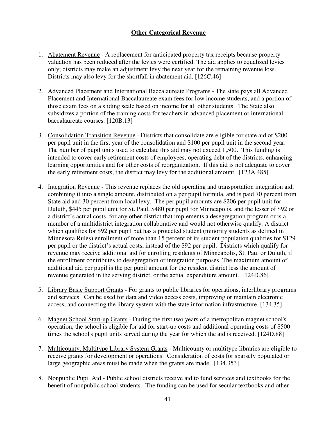# **Other Categorical Revenue**

- 1. Abatement Revenue A replacement for anticipated property tax receipts because property valuation has been reduced after the levies were certified. The aid applies to equalized levies only; districts may make an adjustment levy the next year for the remaining revenue loss. Districts may also levy for the shortfall in abatement aid. [126C.46]
- 2. Advanced Placement and International Baccalaureate Programs The state pays all Advanced Placement and International Baccalaureate exam fees for low income students, and a portion of those exam fees on a sliding scale based on income for all other students. The State also subsidizes a portion of the training costs for teachers in advanced placement or international baccalaureate courses. [120B.13]
- 3. Consolidation Transition Revenue Districts that consolidate are eligible for state aid of \$200 per pupil unit in the first year of the consolidation and \$100 per pupil unit in the second year. The number of pupil units used to calculate this aid may not exceed 1,500. This funding is intended to cover early retirement costs of employees, operating debt of the districts, enhancing learning opportunities and for other costs of reorganization. If this aid is not adequate to cover the early retirement costs, the district may levy for the additional amount. [123A.485]
- 4. Integration Revenue This revenue replaces the old operating and transportation integration aid, combining it into a single amount, distributed on a per pupil formula, and is paid 70 percent from State aid and 30 percent from local levy. The per pupil amounts are \$206 per pupil unit for Duluth, \$445 per pupil unit for St. Paul, \$480 per pupil for Minneapolis, and the lesser of \$92 or a district's actual costs, for any other district that implements a desegregation program or is a member of a multidistrict integration collaborative and would not otherwise qualify. A district which qualifies for \$92 per pupil but has a protected student (minority students as defined in Minnesota Rules) enrollment of more than 15 percent of its student population qualifies for \$129 per pupil or the district's actual costs, instead of the \$92 per pupil. Districts which qualify for revenue may receive additional aid for enrolling residents of Minneapolis, St. Paul or Duluth, if the enrollment contributes to desegregation or integration purposes. The maximum amount of additional aid per pupil is the per pupil amount for the resident district less the amount of revenue generated in the serving district, or the actual expenditure amount. [124D.86]
- 5. Library Basic Support Grants For grants to public libraries for operations, interlibrary programs and services. Can be used for data and video access costs, improving or maintain electronic access, and connecting the library system with the state information infrastructure. [134.35]
- 6. Magnet School Start-up Grants During the first two years of a metropolitan magnet school's operation, the school is eligible for aid for start-up costs and additional operating costs of \$500 times the school's pupil units served during the year for which the aid is received. [124D.88]
- 7. Multicounty, Multitype Library System Grants Multicounty or multitype libraries are eligible to receive grants for development or operations. Consideration of costs for sparsely populated or large geographic areas must be made when the grants are made. [134.353]
- 8. Nonpublic Pupil Aid Public school districts receive aid to fund services and textbooks for the benefit of nonpublic school students. The funding can be used for secular textbooks and other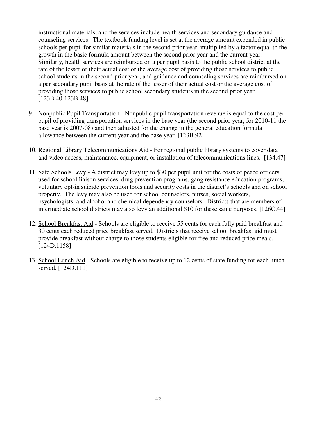instructional materials, and the services include health services and secondary guidance and counseling services. The textbook funding level is set at the average amount expended in public schools per pupil for similar materials in the second prior year, multiplied by a factor equal to the growth in the basic formula amount between the second prior year and the current year. Similarly, health services are reimbursed on a per pupil basis to the public school district at the rate of the lesser of their actual cost or the average cost of providing those services to public school students in the second prior year, and guidance and counseling services are reimbursed on a per secondary pupil basis at the rate of the lesser of their actual cost or the average cost of providing those services to public school secondary students in the second prior year. [123B.40-123B.48]

- 9. Nonpublic Pupil Transportation Nonpublic pupil transportation revenue is equal to the cost per pupil of providing transportation services in the base year (the second prior year, for 2010-11 the base year is 2007-08) and then adjusted for the change in the general education formula allowance between the current year and the base year. [123B.92]
- 10. Regional Library Telecommunications Aid For regional public library systems to cover data and video access, maintenance, equipment, or installation of telecommunications lines. [134.47]
- 11. Safe Schools Levy A district may levy up to \$30 per pupil unit for the costs of peace officers used for school liaison services, drug prevention programs, gang resistance education programs, voluntary opt-in suicide prevention tools and security costs in the district's schools and on school property. The levy may also be used for school counselors, nurses, social workers, psychologists, and alcohol and chemical dependency counselors. Districts that are members of intermediate school districts may also levy an additional \$10 for these same purposes. [126C.44]
- 12. School Breakfast Aid Schools are eligible to receive 55 cents for each fully paid breakfast and 30 cents each reduced price breakfast served. Districts that receive school breakfast aid must provide breakfast without charge to those students eligible for free and reduced price meals. [124D.1158]
- 13. School Lunch Aid Schools are eligible to receive up to 12 cents of state funding for each lunch served. [124D.111]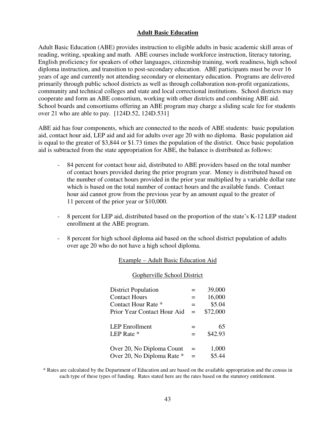#### **Adult Basic Education**

Adult Basic Education (ABE) provides instruction to eligible adults in basic academic skill areas of reading, writing, speaking and math. ABE courses include workforce instruction, literacy tutoring, English proficiency for speakers of other languages, citizenship training, work readiness, high school diploma instruction, and transition to post-secondary education. ABE participants must be over 16 years of age and currently not attending secondary or elementary education. Programs are delivered primarily through public school districts as well as through collaboration non-profit organizations, community and technical colleges and state and local correctional institutions. School districts may cooperate and form an ABE consortium, working with other districts and combining ABE aid. School boards and consortiums offering an ABE program may charge a sliding scale fee for students over 21 who are able to pay. [124D.52, 124D.531]

ABE aid has four components, which are connected to the needs of ABE students: basic population aid, contact hour aid, LEP aid and aid for adults over age 20 with no diploma. Basic population aid is equal to the greater of \$3,844 or \$1.73 times the population of the district. Once basic population aid is subtracted from the state appropriation for ABE, the balance is distributed as follows:

- 84 percent for contact hour aid, distributed to ABE providers based on the total number of contact hours provided during the prior program year. Money is distributed based on the number of contact hours provided in the prior year multiplied by a variable dollar rate which is based on the total number of contact hours and the available funds. Contact hour aid cannot grow from the previous year by an amount equal to the greater of 11 percent of the prior year or \$10,000.
- 8 percent for LEP aid, distributed based on the proportion of the state's K-12 LEP student enrollment at the ABE program.
- 8 percent for high school diploma aid based on the school district population of adults over age 20 who do not have a high school diploma.

#### Example – Adult Basic Education Aid

#### Gopherville School District

| <b>District Population</b>  |     | 39,000   |
|-----------------------------|-----|----------|
| <b>Contact Hours</b>        | $=$ | 16,000   |
| Contact Hour Rate *         | $=$ | \$5.04   |
| Prior Year Contact Hour Aid | $=$ | \$72,000 |
|                             |     |          |
| <b>LEP</b> Enrollment       | $=$ | 65       |
| LEP Rate *                  | $=$ | \$42.93  |
|                             |     |          |
| Over 20, No Diploma Count   | $=$ | 1,000    |
| Over 20, No Diploma Rate *  | =   | \$5.44   |

\* Rates are calculated by the Department of Education and are based on the available appropriation and the census in each type of these types of funding. Rates stated here are the rates based on the statutory entitlement.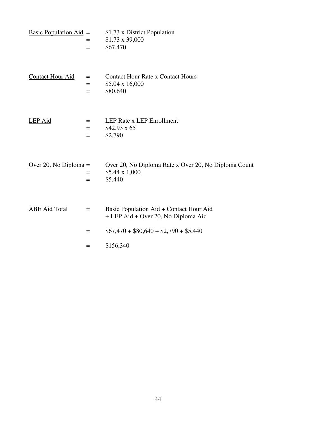| <u>Basic Population Aid</u> $=$ | $=$<br>$=$        | \$1.73 x District Population<br>$$1.73 \times 39,000$<br>\$67,470                 |
|---------------------------------|-------------------|-----------------------------------------------------------------------------------|
| <b>Contact Hour Aid</b>         | $=$<br>$=$<br>$=$ | <b>Contact Hour Rate x Contact Hours</b><br>\$5.04 x 16,000<br>\$80,640           |
| LEP Aid                         | $=$<br>$=$<br>$=$ | LEP Rate x LEP Enrollment<br>$$42.93 \times 65$<br>\$2,790                        |
| Over 20, No Diploma $=$         | $=$<br>$=$        | Over 20, No Diploma Rate x Over 20, No Diploma Count<br>\$5.44 x 1,000<br>\$5,440 |
| <b>ABE Aid Total</b>            | $=$               | Basic Population Aid + Contact Hour Aid<br>+ LEP Aid + Over 20, No Diploma Aid    |
|                                 | $=$               | $$67,470 + $80,640 + $2,790 + $5,440$                                             |
|                                 | $=$               | \$156,340                                                                         |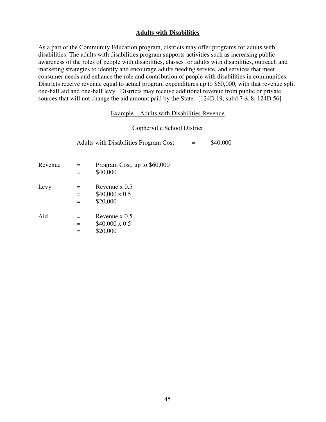# **Adults with Disabilities**

As a part of the Community Education program, districts may offer programs for adults with disabilities. The adults with disabilities program supports activities such as increasing public awareness of the roles of people with disabilities, classes for adults with disabilities, outreach and marketing strategies to identify and encourage adults needing service, and services that meet consumer needs and enhance the role and contribution of people with disabilities in communities. Districts receive revenue equal to actual program expenditures up to \$60,000, with that revenue split one-half aid and one-half levy. Districts may receive additional revenue from public or private sources that will not change the aid amount paid by the State. [124D.19, subd 7 & 8, 124D.56]

#### Example – Adults with Disabilities Revenue

# Gopherville School District

|         |                   | <b>Adults with Disabilities Program Cost</b>         | \$40,000 |
|---------|-------------------|------------------------------------------------------|----------|
| Revenue | $=$               | Program Cost, up to \$60,000<br>\$40,000             |          |
| Levy    | $=$<br>$=$<br>$=$ | Revenue $x\,0.5$<br>$$40,000 \times 0.5$<br>\$20,000 |          |
| Aid     | $=$<br>$=$        | Revenue $x\,0.5$<br>$$40,000 \times 0.5$<br>\$20,000 |          |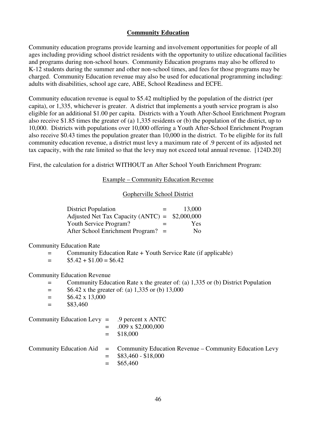#### **Community Education**

Community education programs provide learning and involvement opportunities for people of all ages including providing school district residents with the opportunity to utilize educational facilities and programs during non-school hours. Community Education programs may also be offered to K-12 students during the summer and other non-school times, and fees for those programs may be charged. Community Education revenue may also be used for educational programming including: adults with disabilities, school age care, ABE, School Readiness and ECFE.

Community education revenue is equal to \$5.42 multiplied by the population of the district (per capita), or 1,335, whichever is greater. A district that implements a youth service program is also eligible for an additional \$1.00 per capita. Districts with a Youth After-School Enrichment Program also receive \$1.85 times the greater of (a) 1,335 residents or (b) the population of the district, up to 10,000. Districts with populations over 10,000 offering a Youth After-School Enrichment Program also receive \$0.43 times the population greater than 10,000 in the district. To be eligible for its full community education revenue, a district must levy a maximum rate of .9 percent of its adjusted net tax capacity, with the rate limited so that the levy may not exceed total annual revenue. [124D.20]

First, the calculation for a district WITHOUT an After School Youth Enrichment Program:

Example – Community Education Revenue

#### Gopherville School District

| <b>District Population</b><br>$=$               | 13,000     |
|-------------------------------------------------|------------|
| Adjusted Net Tax Capacity (ANTC) = $$2,000,000$ |            |
| Youth Service Program?<br>$=$                   | <b>Yes</b> |
| After School Enrichment Program? $=$            | No.        |

Community Education Rate

= Community Education Rate + Youth Service Rate (if applicable)

 $=$  \$5.42 + \$1.00 = \$6.42

#### Community Education Revenue

- = Community Education Rate x the greater of: (a) 1,335 or (b) District Population
- $=$  \$6.42 x the greater of: (a) 1,335 or (b) 13,000
- $=$  \$6.42 x 13,000
- $=$  \$83,460

Community Education Levy = .9 percent x ANTC

- $=$  .009 x \$2,000,000
	- $=$  \$18,000

#### Community Education Aid = Community Education Revenue – Community Education Levy  $=$  \$83,460 - \$18,000  $=$  \$65,460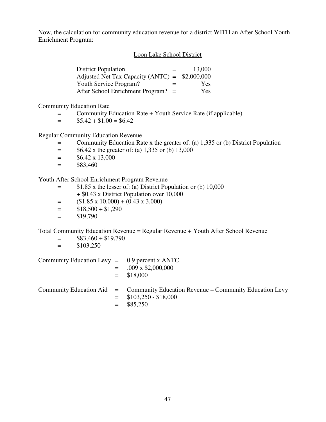Now, the calculation for community education revenue for a district WITH an After School Youth Enrichment Program:

#### Loon Lake School District

| <b>District Population</b><br>$=$               | 13,000     |
|-------------------------------------------------|------------|
| Adjusted Net Tax Capacity (ANTC) = $$2,000,000$ |            |
| Youth Service Program?<br>$=$                   | <b>Yes</b> |
| After School Enrichment Program? $=$            | Yes        |

Community Education Rate

- = Community Education Rate + Youth Service Rate (if applicable)
- $=$  \$5.42 + \$1.00 = \$6.42

# Regular Community Education Revenue

- = Community Education Rate x the greater of: (a) 1,335 or (b) District Population
- $=$  \$6.42 x the greater of: (a) 1,335 or (b) 13,000
- $=$  \$6.42 x 13,000
- $=$  \$83,460

Youth After School Enrichment Program Revenue

- = \$1.85 x the lesser of: (a) District Population or (b) 10,000 + \$0.43 x District Population over 10,000
- $=$  (\$1.85 x 10,000) + (0.43 x 3,000)
- $=$  \$18,500 + \$1,290
- $=$  \$19,790

Total Community Education Revenue = Regular Revenue + Youth After School Revenue

- $=$  \$83,460 + \$19,790
- $=$  \$103,250

Community Education Levy  $=$  0.9 percent x ANTC  $=$  .009 x \$2,000,000  $=$  \$18,000

# Community Education Aid = Community Education Revenue – Community Education Levy  $=$  \$103,250 - \$18,000  $=$  \$85,250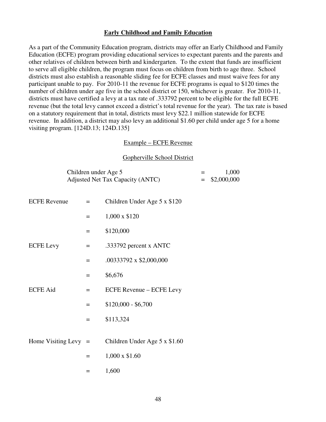#### **Early Childhood and Family Education**

As a part of the Community Education program, districts may offer an Early Childhood and Family Education (ECFE) program providing educational services to expectant parents and the parents and other relatives of children between birth and kindergarten. To the extent that funds are insufficient to serve all eligible children, the program must focus on children from birth to age three. School districts must also establish a reasonable sliding fee for ECFE classes and must waive fees for any participant unable to pay. For 2010-11 the revenue for ECFE programs is equal to \$120 times the number of children under age five in the school district or 150, whichever is greater. For 2010-11, districts must have certified a levy at a tax rate of .333792 percent to be eligible for the full ECFE revenue (but the total levy cannot exceed a district's total revenue for the year). The tax rate is based on a statutory requirement that in total, districts must levy \$22.1 million statewide for ECFE revenue. In addition, a district may also levy an additional \$1.60 per child under age 5 for a home visiting program. [124D.13; 124D.135]

#### Example – ECFE Revenue

#### Gopherville School District

| Children under Age 5             | 1,000           |
|----------------------------------|-----------------|
| Adjusted Net Tax Capacity (ANTC) | $=$ \$2,000,000 |

| <b>ECFE Revenue</b>    | $=$ | Children Under Age 5 x \$120  |
|------------------------|-----|-------------------------------|
|                        | $=$ | $1,000 \times $120$           |
|                        | $=$ | \$120,000                     |
| <b>ECFE</b> Levy       | $=$ | .333792 percent x ANTC        |
|                        | $=$ | $.00333792 \times $2,000,000$ |
|                        | $=$ | \$6,676                       |
| <b>ECFE</b> Aid        | $=$ | ECFE Revenue - ECFE Levy      |
|                        | $=$ | $$120,000 - $6,700$           |
|                        | $=$ | \$113,324                     |
|                        |     |                               |
| Home Visiting Levy $=$ |     | Children Under Age 5 x \$1.60 |
|                        | $=$ | $1,000 \times $1.60$          |
|                        | $=$ | 1,600                         |
|                        |     |                               |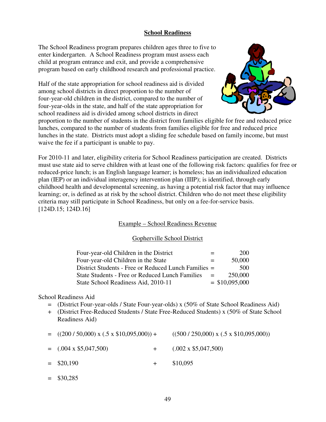# **School Readiness**

The School Readiness program prepares children ages three to five to enter kindergarten. A School Readiness program must assess each child at program entrance and exit, and provide a comprehensive program based on early childhood research and professional practice.

Half of the state appropriation for school readiness aid is divided among school districts in direct proportion to the number of four-year-old children in the district, compared to the number of four-year-olds in the state, and half of the state appropriation for school readiness aid is divided among school districts in direct



proportion to the number of students in the district from families eligible for free and reduced price lunches, compared to the number of students from families eligible for free and reduced price lunches in the state. Districts must adopt a sliding fee schedule based on family income, but must waive the fee if a participant is unable to pay.

For 2010-11 and later, eligibility criteria for School Readiness participation are created. Districts must use state aid to serve children with at least one of the following risk factors: qualifies for free or reduced-price lunch; is an English language learner; is homeless; has an individualized education plan (IEP) or an individual interagency intervention plan (IIIP); is identified, through early childhood health and developmental screening, as having a potential risk factor that may influence learning; or, is defined as at risk by the school district. Children who do not meet these eligibility criteria may still participate in School Readiness, but only on a fee-for-service basis. [124D.15; 124D.16]

#### Example – School Readiness Revenue

#### Gopherville School District

| Four-year-old Children in the District                 | $=$ | 200              |
|--------------------------------------------------------|-----|------------------|
| Four-year-old Children in the State                    | $=$ | 50,000           |
| District Students - Free or Reduced Lunch Families =   |     | 500              |
| <b>State Students - Free or Reduced Lunch Families</b> | $=$ | 250,000          |
| State School Readiness Aid, 2010-11                    |     | $=$ \$10,095,000 |

#### School Readiness Aid

- = (District Four-year-olds / State Four-year-olds) x (50% of State School Readiness Aid)
- + (District Free-Reduced Students / State Free-Reduced Students) x (50% of State School Readiness Aid)
- $=$  ((200 / 50,000) x (.5 x \$10,095,000)) + ((500 / 250,000) x (.5 x \$10,095,000))  $=$  (.004 x \$5,047,500)  $+$  (.002 x \$5,047,500)
- $=$  \$20,190  $+$  \$10,095
- $=$  \$30,285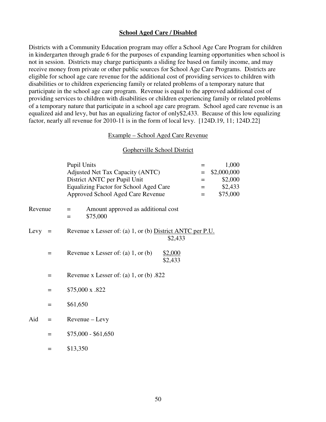#### **School Aged Care / Disabled**

Districts with a Community Education program may offer a School Age Care Program for children in kindergarten through grade 6 for the purposes of expanding learning opportunities when school is not in session. Districts may charge participants a sliding fee based on family income, and may receive money from private or other public sources for School Age Care Programs. Districts are eligible for school age care revenue for the additional cost of providing services to children with disabilities or to children experiencing family or related problems of a temporary nature that participate in the school age care program. Revenue is equal to the approved additional cost of providing services to children with disabilities or children experiencing family or related problems of a temporary nature that participate in a school age care program. School aged care revenue is an equalized aid and levy, but has an equalizing factor of only\$2,433. Because of this low equalizing factor, nearly all revenue for 2010-11 is in the form of local levy. [124D.19, 11; 124D.22]

#### Example – School Aged Care Revenue

#### Gopherville School District

|         |     | <b>Pupil Units</b>                                                   | =   | 1,000       |
|---------|-----|----------------------------------------------------------------------|-----|-------------|
|         |     | Adjusted Net Tax Capacity (ANTC)                                     | $=$ | \$2,000,000 |
|         |     | District ANTC per Pupil Unit                                         | $=$ | \$2,000     |
|         |     | Equalizing Factor for School Aged Care                               | $=$ | \$2,433     |
|         |     | Approved School Aged Care Revenue                                    | $=$ | \$75,000    |
|         |     |                                                                      |     |             |
| Revenue |     | Amount approved as additional cost<br>$=$<br>\$75,000<br>$=$         |     |             |
| Levy    | $=$ | Revenue x Lesser of: (a) 1, or (b) District ANTC per P.U.<br>\$2,433 |     |             |
|         | $=$ | Revenue x Lesser of: (a) $1$ , or (b)<br>\$2,000<br>\$2,433          |     |             |
|         | $=$ | Revenue x Lesser of: (a) 1, or (b) $.822$                            |     |             |
|         | $=$ | \$75,000 x .822                                                      |     |             |
|         | $=$ | \$61,650                                                             |     |             |
| Aid     | $=$ | Revenue – Levy                                                       |     |             |
|         | =   | $$75,000 - $61,650$                                                  |     |             |
|         | =   | \$13,350                                                             |     |             |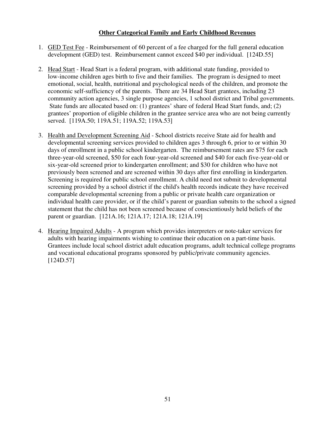# **Other Categorical Family and Early Childhood Revenues**

- 1. GED Test Fee Reimbursement of 60 percent of a fee charged for the full general education development (GED) test. Reimbursement cannot exceed \$40 per individual. [124D.55]
- 2. Head Start Head Start is a federal program, with additional state funding, provided to low-income children ages birth to five and their families. The program is designed to meet emotional, social, health, nutritional and psychological needs of the children, and promote the economic self-sufficiency of the parents. There are 34 Head Start grantees, including 23 community action agencies, 3 single purpose agencies, 1 school district and Tribal governments. State funds are allocated based on: (1) grantees' share of federal Head Start funds, and; (2) grantees' proportion of eligible children in the grantee service area who are not being currently served. [119A.50; 119A.51; 119A.52; 119A.53]
- 3. Health and Development Screening Aid School districts receive State aid for health and developmental screening services provided to children ages 3 through 6, prior to or within 30 days of enrollment in a public school kindergarten. The reimbursement rates are \$75 for each three-year-old screened, \$50 for each four-year-old screened and \$40 for each five-year-old or six-year-old screened prior to kindergarten enrollment; and \$30 for children who have not previously been screened and are screened within 30 days after first enrolling in kindergarten. Screening is required for public school enrollment. A child need not submit to developmental screening provided by a school district if the child's health records indicate they have received comparable developmental screening from a public or private health care organization or individual health care provider, or if the child's parent or guardian submits to the school a signed statement that the child has not been screened because of conscientiously held beliefs of the parent or guardian. [121A.16; 121A.17; 121A.18; 121A.19]
- 4. Hearing Impaired Adults A program which provides interpreters or note-taker services for adults with hearing impairments wishing to continue their education on a part-time basis. Grantees include local school district adult education programs, adult technical college programs and vocational educational programs sponsored by public/private community agencies. [124D.57]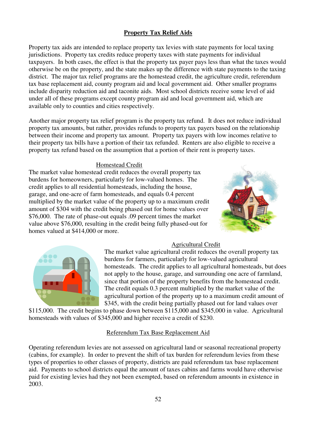# **Property Tax Relief Aids**

Property tax aids are intended to replace property tax levies with state payments for local taxing jurisdictions. Property tax credits reduce property taxes with state payments for individual taxpayers. In both cases, the effect is that the property tax payer pays less than what the taxes would otherwise be on the property, and the state makes up the difference with state payments to the taxing district. The major tax relief programs are the homestead credit, the agriculture credit, referendum tax base replacement aid, county program aid and local government aid. Other smaller programs include disparity reduction aid and taconite aids. Most school districts receive some level of aid under all of these programs except county program aid and local government aid, which are available only to counties and cities respectively.

Another major property tax relief program is the property tax refund. It does not reduce individual property tax amounts, but rather, provides refunds to property tax payers based on the relationship between their income and property tax amount. Property tax payers with low incomes relative to their property tax bills have a portion of their tax refunded. Renters are also eligible to receive a property tax refund based on the assumption that a portion of their rent is property taxes.

# Homestead Credit

The market value homestead credit reduces the overall property tax burdens for homeowners, particularly for low-valued homes. The credit applies to all residential homesteads, including the house, garage, and one-acre of farm homesteads, and equals 0.4 percent multiplied by the market value of the property up to a maximum credit amount of \$304 with the credit being phased out for home values over \$76,000. The rate of phase-out equals .09 percent times the market value above \$76,000, resulting in the credit being fully phased-out for homes valued at \$414,000 or more.





# Agricultural Credit

The market value agricultural credit reduces the overall property tax burdens for farmers, particularly for low-valued agricultural homesteads. The credit applies to all agricultural homesteads, but does not apply to the house, garage, and surrounding one acre of farmland, since that portion of the property benefits from the homestead credit. The credit equals 0.3 percent multiplied by the market value of the agricultural portion of the property up to a maximum credit amount of \$345, with the credit being partially phased out for land values over

\$115,000. The credit begins to phase down between \$115,000 and \$345,000 in value. Agricultural homesteads with values of \$345,000 and higher receive a credit of \$230.

# Referendum Tax Base Replacement Aid

Operating referendum levies are not assessed on agricultural land or seasonal recreational property (cabins, for example). In order to prevent the shift of tax burden for referendum levies from these types of properties to other classes of property, districts are paid referendum tax base replacement aid. Payments to school districts equal the amount of taxes cabins and farms would have otherwise paid for existing levies had they not been exempted, based on referendum amounts in existence in 2003.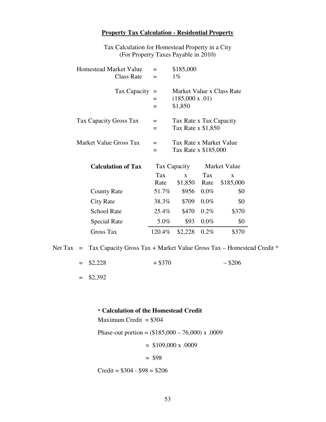#### **Property Tax Calculation - Residential Property**

Tax Calculation for Homestead Property in a City (For Property Taxes Payable in 2010)

| <b>Homestead Market Value</b> | $=$           | \$185,000                                       |         |                           |
|-------------------------------|---------------|-------------------------------------------------|---------|---------------------------|
| <b>Class Rate</b>             | =             | $1\%$                                           |         |                           |
| Tax Capacity                  | $=$<br>=<br>= | $(185,000 \times .01)$<br>\$1,850               |         | Market Value x Class Rate |
| Tax Capacity Gross Tax        | $=$<br>$=$    | Tax Rate x Tax Capacity<br>Tax Rate x \$1,850   |         |                           |
| <b>Market Value Gross Tax</b> | $=$<br>$=$    | Tax Rate x Market Value<br>Tax Rate x \$185,000 |         |                           |
| <b>Calculation of Tax</b>     |               | Tax Capacity                                    |         | Market Value              |
|                               | Tax           | $\mathbf{X}$                                    | Tax     | $\mathbf{x}$              |
|                               | Rate          | \$1,850                                         | Rate    | \$185,000                 |
| <b>County Rate</b>            | 51.7%         | \$956                                           | $0.0\%$ | \$0                       |
| City Rate                     | 38.3%         | \$709                                           | $0.0\%$ | \$0                       |
| <b>School Rate</b>            | 25.4%         | \$470                                           | $0.2\%$ | \$370                     |
| <b>Special Rate</b>           | 5.0%          | \$93                                            | $0.0\%$ | \$0                       |
| Gross Tax                     | 120.4%        | \$2,228                                         | $0.2\%$ | \$370                     |

Net Tax = Tax Capacity Gross Tax + Market Value Gross Tax - Homestead Credit \*

| $=$ \$2,228 | $+$ \$370 | $-$ \$206 |
|-------------|-----------|-----------|
|             |           |           |

 $=$  \$2,392

#### **\* Calculation of the Homestead Credit**

Maximum Credit  $= $304$ Phase-out portion =  $(\$185,000 - 76,000)$  x .0009  $=$  \$109,000 x .0009  $= $98$ 

Credit = \$304 - \$98 = \$206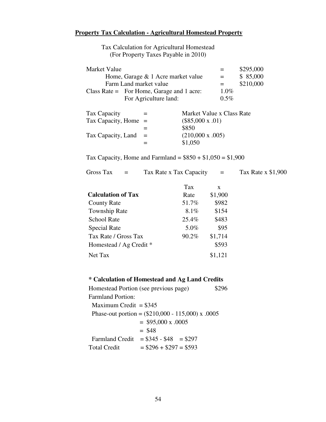# **Property Tax Calculation - Agricultural Homestead Property**

| Market Value           |                                           |                             |         | \$295,000 |
|------------------------|-------------------------------------------|-----------------------------|---------|-----------|
|                        | Home, Garage & 1 Acre market value        |                             | $=$     | \$85,000  |
|                        | Farm Land market value                    |                             | $=$     | \$210,000 |
|                        | Class Rate = For Home, Garage and 1 acre: |                             | $1.0\%$ |           |
|                        | For Agriculture land:                     |                             | $0.5\%$ |           |
|                        |                                           |                             |         |           |
| Tax Capacity           |                                           | Market Value x Class Rate   |         |           |
| Tax Capacity, Home $=$ |                                           | $(\$85,000 \times .01)$     |         |           |
|                        |                                           | \$850                       |         |           |
| Tax Capacity, Land     |                                           | $(210,000 \text{ x } .005)$ |         |           |
|                        |                                           | \$1,050                     |         |           |

Tax Calculation for Agricultural Homestead (For Property Taxes Payable in 2010)

Tax Capacity, Home and Farmland =  $$850 + $1,050 = $1,900$ 

| Gross Tax<br>$=$          | Tax Rate x Tax Capacity | $=$     | Tax Rate x \$1,900 |
|---------------------------|-------------------------|---------|--------------------|
|                           | Tax                     | X       |                    |
| <b>Calculation of Tax</b> | Rate                    | \$1,900 |                    |
| <b>County Rate</b>        | 51.7%                   | \$982   |                    |
| <b>Township Rate</b>      | $8.1\%$                 | \$154   |                    |
| <b>School Rate</b>        | 25.4%                   | \$483   |                    |
| <b>Special Rate</b>       | 5.0%                    | \$95    |                    |
| Tax Rate / Gross Tax      | 90.2%                   | \$1,714 |                    |
| Homestead / Ag Credit *   |                         | \$593   |                    |
| Net Tax                   |                         | \$1,121 |                    |
|                           |                         |         |                    |

# **\* Calculation of Homestead and Ag Land Credits**

|                          | Homestead Portion (see previous page)               |  |
|--------------------------|-----------------------------------------------------|--|
| <b>Farmland Portion:</b> |                                                     |  |
| Maximum Credit = $$345$  |                                                     |  |
|                          | Phase-out portion = $(\$210,000 - 115,000)$ x .0005 |  |
|                          | $=$ \$95,000 x .0005                                |  |
|                          | $=$ \$48                                            |  |
| <b>Farmland Credit</b>   | $= $345 - $48 = $297$                               |  |
| <b>Total Credit</b>      | $= $296 + $297 = $593$                              |  |
|                          |                                                     |  |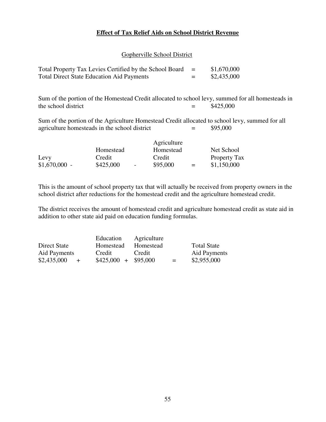# **Effect of Tax Relief Aids on School District Revenue**

Gopherville School District

| Total Property Tax Levies Certified by the School Board | $=$ | \$1,670,000 |
|---------------------------------------------------------|-----|-------------|
| <b>Total Direct State Education Aid Payments</b>        | $=$ | \$2,435,000 |

Sum of the portion of the Homestead Credit allocated to school levy, summed for all homesteads in the school district  $=$  \$425,000

Sum of the portion of the Agriculture Homestead Credit allocated to school levy, summed for all agriculture homesteads in the school district  $=$  \$95,000

|                |           |        | Agriculture |     |              |
|----------------|-----------|--------|-------------|-----|--------------|
|                | Homestead |        | Homestead   |     | Net School   |
| Levy           | Credit    |        | Credit      |     | Property Tax |
| $$1,670,000$ - | \$425,000 | $\sim$ | \$95,000    | $=$ | \$1,150,000  |

This is the amount of school property tax that will actually be received from property owners in the school district after reductions for the homestead credit and the agriculture homestead credit.

The district receives the amount of homestead credit and agriculture homestead credit as state aid in addition to other state aid paid on education funding formulas.

|                    | Education            | Agriculture |                     |
|--------------------|----------------------|-------------|---------------------|
| Direct State       | Homestead            | Homestead   | <b>Total State</b>  |
| Aid Payments       | Credit               | Credit      | <b>Aid Payments</b> |
| \$2,435,000<br>$+$ | $$425,000 + $95,000$ | $=$         | \$2,955,000         |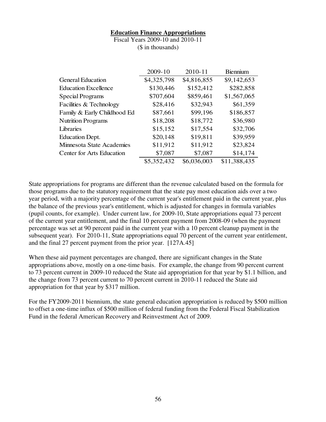#### **Education Finance Appropriations**

Fiscal Years 2009-10 and 2010-11 (\$ in thousands)

|                             | 2009-10     | 2010-11     | <b>B</b> iennium |
|-----------------------------|-------------|-------------|------------------|
| <b>General Education</b>    | \$4,325,798 | \$4,816,855 | \$9,142,653      |
| <b>Education Excellence</b> | \$130,446   | \$152,412   | \$282,858        |
| Special Programs            | \$707,604   | \$859,461   | \$1,567,065      |
| Facilities & Technology     | \$28,416    | \$32,943    | \$61,359         |
| Family & Early Childhood Ed | \$87,661    | \$99,196    | \$186,857        |
| <b>Nutrition Programs</b>   | \$18,208    | \$18,772    | \$36,980         |
| Libraries                   | \$15,152    | \$17,554    | \$32,706         |
| <b>Education Dept.</b>      | \$20,148    | \$19,811    | \$39,959         |
| Minnesota State Academies   | \$11,912    | \$11,912    | \$23,824         |
| Center for Arts Education   | \$7,087     | \$7,087     | \$14,174         |
|                             | \$5,352,432 | \$6,036,003 | \$11,388,435     |

State appropriations for programs are different than the revenue calculated based on the formula for those programs due to the statutory requirement that the state pay most education aids over a two year period, with a majority percentage of the current year's entitlement paid in the current year, plus the balance of the previous year's entitlement, which is adjusted for changes in formula variables (pupil counts, for example). Under current law, for 2009-10, State appropriations equal 73 percent of the current year entitlement, and the final 10 percent payment from 2008-09 (when the payment percentage was set at 90 percent paid in the current year with a 10 percent cleanup payment in the subsequent year). For 2010-11, State appropriations equal 70 percent of the current year entitlement, and the final 27 percent payment from the prior year. [127A.45]

When these aid payment percentages are changed, there are significant changes in the State appropriations above, mostly on a one-time basis. For example, the change from 90 percent current to 73 percent current in 2009-10 reduced the State aid appropriation for that year by \$1.1 billion, and the change from 73 percent current to 70 percent current in 2010-11 reduced the State aid appropriation for that year by \$317 million.

For the FY2009-2011 biennium, the state general education appropriation is reduced by \$500 million to offset a one-time influx of \$500 million of federal funding from the Federal Fiscal Stabilization Fund in the federal American Recovery and Reinvestment Act of 2009.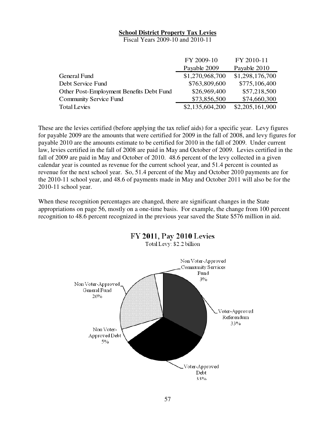# **School District Property Tax Levies**

Fiscal Years 2009-10 and 2010-11

|                                          | FY 2009-10      | FY 2010-11      |
|------------------------------------------|-----------------|-----------------|
|                                          | Payable 2009    | Payable 2010    |
| General Fund                             | \$1,270,968,700 | \$1,298,176,700 |
| Debt Service Fund                        | \$763,809,600   | \$775,106,400   |
| Other Post-Employment Benefits Debt Fund | \$26,969,400    | \$57,218,500    |
| <b>Community Service Fund</b>            | \$73,856,500    | \$74,660,300    |
| <b>Total Levies</b>                      | \$2,135,604,200 | \$2,205,161,900 |

These are the levies certified (before applying the tax relief aids) for a specific year. Levy figures for payable 2009 are the amounts that were certified for 2009 in the fall of 2008, and levy figures for payable 2010 are the amounts estimate to be certified for 2010 in the fall of 2009. Under current law, levies certified in the fall of 2008 are paid in May and October of 2009. Levies certified in the fall of 2009 are paid in May and October of 2010. 48.6 percent of the levy collected in a given calendar year is counted as revenue for the current school year, and 51.4 percent is counted as revenue for the next school year. So, 51.4 percent of the May and October 2010 payments are for the 2010-11 school year, and 48.6 of payments made in May and October 2011 will also be for the 2010-11 school year.

When these recognition percentages are changed, there are significant changes in the State appropriations on page 56, mostly on a one-time basis. For example, the change from 100 percent recognition to 48.6 percent recognized in the previous year saved the State \$576 million in aid.

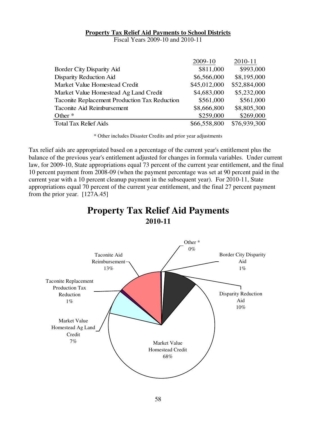#### **Property Tax Relief Aid Payments to School Districts**

Fiscal Years 2009-10 and 2010-11

|                                               | 2009-10      | 2010-11      |
|-----------------------------------------------|--------------|--------------|
| <b>Border City Disparity Aid</b>              | \$811,000    | \$993,000    |
| <b>Disparity Reduction Aid</b>                | \$6,566,000  | \$8,195,000  |
| Market Value Homestead Credit                 | \$45,012,000 | \$52,884,000 |
| Market Value Homestead Ag Land Credit         | \$4,683,000  | \$5,232,000  |
| Taconite Replacement Production Tax Reduction | \$561,000    | \$561,000    |
| Taconite Aid Reimbursement                    | \$8,666,800  | \$8,805,300  |
| Other $*$                                     | \$259,000    | \$269,000    |
| <b>Total Tax Relief Aids</b>                  | \$66,558,800 | \$76,939,300 |

\* Other includes Disaster Credits and prior year adjustments

Tax relief aids are appropriated based on a percentage of the current year's entitlement plus the balance of the previous year's entitlement adjusted for changes in formula variables. Under current law, for 2009-10, State appropriations equal 73 percent of the current year entitlement, and the final 10 percent payment from 2008-09 (when the payment percentage was set at 90 percent paid in the current year with a 10 percent cleanup payment in the subsequent year). For 2010-11, State appropriations equal 70 percent of the current year entitlement, and the final 27 percent payment from the prior year. [127A.45]

# **Property Tax Relief Aid Payments 2010-11**

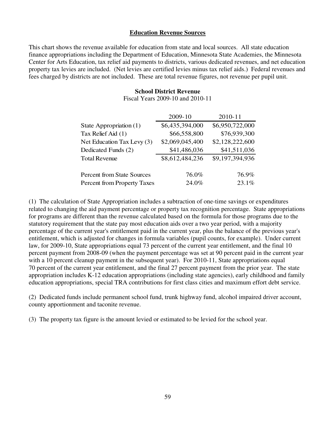#### **Education Revenue Sources**

This chart shows the revenue available for education from state and local sources. All state education finance appropriations including the Department of Education, Minnesota State Academies, the Minnesota Center for Arts Education, tax relief aid payments to districts, various dedicated revenues, and net education property tax levies are included. (Net levies are certified levies minus tax relief aids.) Federal revenues and fees charged by districts are not included. These are total revenue figures, not revenue per pupil unit.

#### **School District Revenue**

Fiscal Years 2009-10 and 2010-11

|                                   | 2009-10         | 2010-11         |
|-----------------------------------|-----------------|-----------------|
| State Appropriation (1)           | \$6,435,394,000 | \$6,950,722,000 |
| Tax Relief Aid (1)                | \$66,558,800    | \$76,939,300    |
| Net Education Tax Levy (3)        | \$2,069,045,400 | \$2,128,222,600 |
| Dedicated Funds (2)               | \$41,486,036    | \$41,511,036    |
| <b>Total Revenue</b>              | \$8,612,484,236 | \$9,197,394,936 |
| <b>Percent from State Sources</b> | 76.0%           | 76.9%           |
| Percent from Property Taxes       | 24.0%           | 23.1%           |

(1) The calculation of State Appropriation includes a subtraction of one-time savings or expenditures related to changing the aid payment percentage or property tax recognition percentage. State appropriations for programs are different than the revenue calculated based on the formula for those programs due to the statutory requirement that the state pay most education aids over a two year period, with a majority percentage of the current year's entitlement paid in the current year, plus the balance of the previous year's entitlement, which is adjusted for changes in formula variables (pupil counts, for example). Under current law, for 2009-10, State appropriations equal 73 percent of the current year entitlement, and the final 10 percent payment from 2008-09 (when the payment percentage was set at 90 percent paid in the current year with a 10 percent cleanup payment in the subsequent year). For 2010-11, State appropriations equal 70 percent of the current year entitlement, and the final 27 percent payment from the prior year. The state appropriation includes K-12 education appropriations (including state agencies), early childhood and family education appropriations, special TRA contributions for first class cities and maximum effort debt service.

(2) Dedicated funds include permanent school fund, trunk highway fund, alcohol impaired driver account, county apportionment and taconite revenue.

(3) The property tax figure is the amount levied or estimated to be levied for the school year.